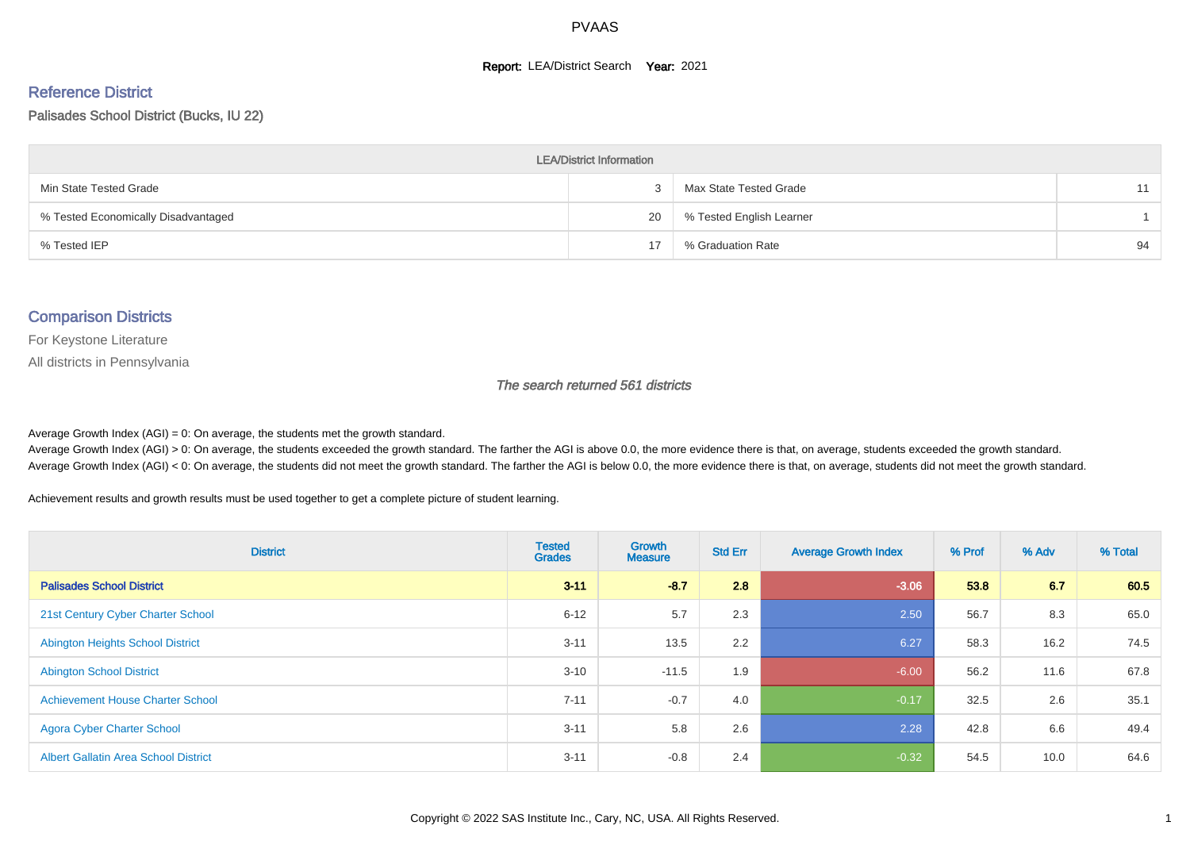#### **Report: LEA/District Search Year: 2021**

#### Reference District

#### Palisades School District (Bucks, IU 22)

| <b>LEA/District Information</b>     |    |                          |    |  |  |  |  |  |  |
|-------------------------------------|----|--------------------------|----|--|--|--|--|--|--|
| Min State Tested Grade              | 3  | Max State Tested Grade   |    |  |  |  |  |  |  |
| % Tested Economically Disadvantaged | 20 | % Tested English Learner |    |  |  |  |  |  |  |
| % Tested IEP                        | 17 | % Graduation Rate        | 94 |  |  |  |  |  |  |

#### Comparison Districts

For Keystone Literature

All districts in Pennsylvania

The search returned 561 districts

Average Growth Index  $(AGI) = 0$ : On average, the students met the growth standard.

Average Growth Index (AGI) > 0: On average, the students exceeded the growth standard. The farther the AGI is above 0.0, the more evidence there is that, on average, students exceeded the growth standard. Average Growth Index (AGI) < 0: On average, the students did not meet the growth standard. The farther the AGI is below 0.0, the more evidence there is that, on average, students did not meet the growth standard.

Achievement results and growth results must be used together to get a complete picture of student learning.

| <b>District</b>                             | <b>Tested</b><br><b>Grades</b> | <b>Growth</b><br><b>Measure</b> | <b>Std Err</b> | <b>Average Growth Index</b> | % Prof | % Adv | % Total |
|---------------------------------------------|--------------------------------|---------------------------------|----------------|-----------------------------|--------|-------|---------|
| <b>Palisades School District</b>            | $3 - 11$                       | $-8.7$                          | 2.8            | $-3.06$                     | 53.8   | 6.7   | 60.5    |
| 21st Century Cyber Charter School           | $6 - 12$                       | 5.7                             | 2.3            | 2.50                        | 56.7   | 8.3   | 65.0    |
| <b>Abington Heights School District</b>     | $3 - 11$                       | 13.5                            | 2.2            | 6.27                        | 58.3   | 16.2  | 74.5    |
| <b>Abington School District</b>             | $3 - 10$                       | $-11.5$                         | 1.9            | $-6.00$                     | 56.2   | 11.6  | 67.8    |
| <b>Achievement House Charter School</b>     | $7 - 11$                       | $-0.7$                          | 4.0            | $-0.17$                     | 32.5   | 2.6   | 35.1    |
| <b>Agora Cyber Charter School</b>           | $3 - 11$                       | 5.8                             | 2.6            | 2.28                        | 42.8   | 6.6   | 49.4    |
| <b>Albert Gallatin Area School District</b> | $3 - 11$                       | $-0.8$                          | 2.4            | $-0.32$                     | 54.5   | 10.0  | 64.6    |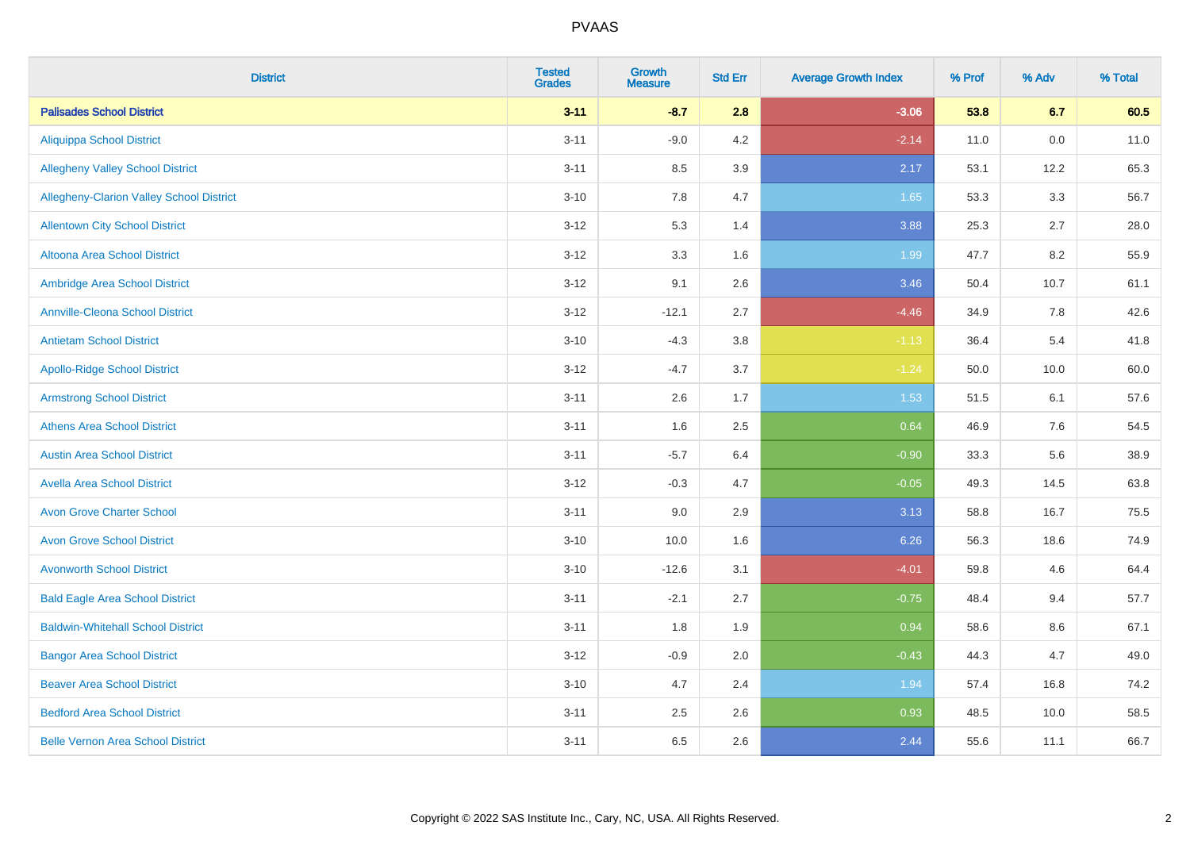| <b>District</b>                          | <b>Tested</b><br><b>Grades</b> | <b>Growth</b><br><b>Measure</b> | <b>Std Err</b> | <b>Average Growth Index</b> | % Prof | % Adv | % Total |
|------------------------------------------|--------------------------------|---------------------------------|----------------|-----------------------------|--------|-------|---------|
| <b>Palisades School District</b>         | $3 - 11$                       | $-8.7$                          | 2.8            | $-3.06$                     | 53.8   | 6.7   | 60.5    |
| <b>Aliquippa School District</b>         | $3 - 11$                       | $-9.0$                          | 4.2            | $-2.14$                     | 11.0   | 0.0   | 11.0    |
| <b>Allegheny Valley School District</b>  | $3 - 11$                       | 8.5                             | 3.9            | 2.17                        | 53.1   | 12.2  | 65.3    |
| Allegheny-Clarion Valley School District | $3 - 10$                       | 7.8                             | 4.7            | 1.65                        | 53.3   | 3.3   | 56.7    |
| <b>Allentown City School District</b>    | $3 - 12$                       | 5.3                             | 1.4            | 3.88                        | 25.3   | 2.7   | 28.0    |
| <b>Altoona Area School District</b>      | $3 - 12$                       | 3.3                             | 1.6            | 1.99                        | 47.7   | 8.2   | 55.9    |
| Ambridge Area School District            | $3 - 12$                       | 9.1                             | 2.6            | 3.46                        | 50.4   | 10.7  | 61.1    |
| <b>Annville-Cleona School District</b>   | $3 - 12$                       | $-12.1$                         | 2.7            | $-4.46$                     | 34.9   | 7.8   | 42.6    |
| <b>Antietam School District</b>          | $3 - 10$                       | $-4.3$                          | 3.8            | $-1.13$                     | 36.4   | 5.4   | 41.8    |
| <b>Apollo-Ridge School District</b>      | $3 - 12$                       | $-4.7$                          | 3.7            | $-1.24$                     | 50.0   | 10.0  | 60.0    |
| <b>Armstrong School District</b>         | $3 - 11$                       | 2.6                             | 1.7            | 1.53                        | 51.5   | 6.1   | 57.6    |
| <b>Athens Area School District</b>       | $3 - 11$                       | 1.6                             | 2.5            | 0.64                        | 46.9   | 7.6   | 54.5    |
| <b>Austin Area School District</b>       | $3 - 11$                       | $-5.7$                          | 6.4            | $-0.90$                     | 33.3   | 5.6   | 38.9    |
| <b>Avella Area School District</b>       | $3 - 12$                       | $-0.3$                          | 4.7            | $-0.05$                     | 49.3   | 14.5  | 63.8    |
| <b>Avon Grove Charter School</b>         | $3 - 11$                       | 9.0                             | 2.9            | 3.13                        | 58.8   | 16.7  | 75.5    |
| <b>Avon Grove School District</b>        | $3 - 10$                       | 10.0                            | 1.6            | 6.26                        | 56.3   | 18.6  | 74.9    |
| <b>Avonworth School District</b>         | $3 - 10$                       | $-12.6$                         | 3.1            | $-4.01$                     | 59.8   | 4.6   | 64.4    |
| <b>Bald Eagle Area School District</b>   | $3 - 11$                       | $-2.1$                          | 2.7            | $-0.75$                     | 48.4   | 9.4   | 57.7    |
| <b>Baldwin-Whitehall School District</b> | $3 - 11$                       | 1.8                             | 1.9            | 0.94                        | 58.6   | 8.6   | 67.1    |
| <b>Bangor Area School District</b>       | $3 - 12$                       | $-0.9$                          | 2.0            | $-0.43$                     | 44.3   | 4.7   | 49.0    |
| <b>Beaver Area School District</b>       | $3 - 10$                       | 4.7                             | 2.4            | 1.94                        | 57.4   | 16.8  | 74.2    |
| <b>Bedford Area School District</b>      | $3 - 11$                       | 2.5                             | 2.6            | 0.93                        | 48.5   | 10.0  | 58.5    |
| <b>Belle Vernon Area School District</b> | $3 - 11$                       | 6.5                             | 2.6            | 2.44                        | 55.6   | 11.1  | 66.7    |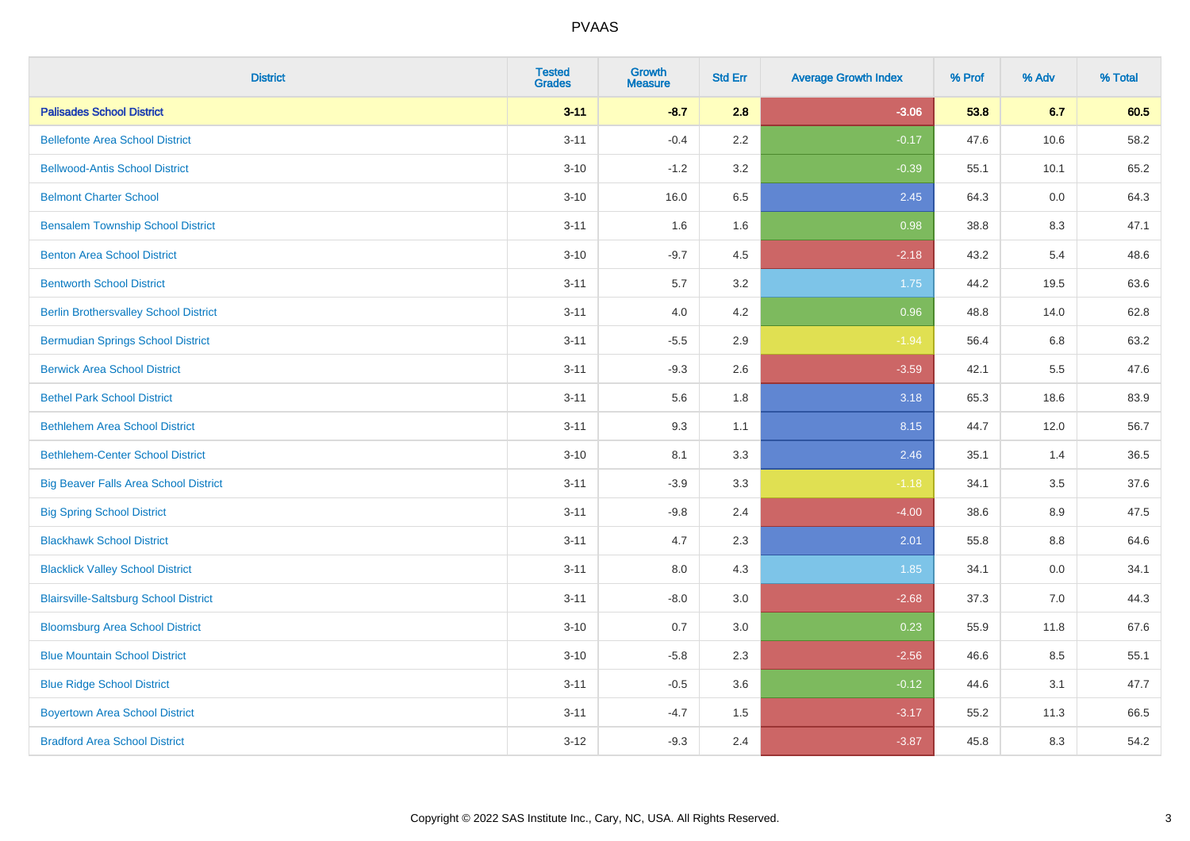| <b>District</b>                              | <b>Tested</b><br><b>Grades</b> | <b>Growth</b><br><b>Measure</b> | <b>Std Err</b> | <b>Average Growth Index</b> | % Prof | % Adv | % Total |
|----------------------------------------------|--------------------------------|---------------------------------|----------------|-----------------------------|--------|-------|---------|
| <b>Palisades School District</b>             | $3 - 11$                       | $-8.7$                          | 2.8            | $-3.06$                     | 53.8   | 6.7   | 60.5    |
| <b>Bellefonte Area School District</b>       | $3 - 11$                       | $-0.4$                          | 2.2            | $-0.17$                     | 47.6   | 10.6  | 58.2    |
| <b>Bellwood-Antis School District</b>        | $3 - 10$                       | $-1.2$                          | 3.2            | $-0.39$                     | 55.1   | 10.1  | 65.2    |
| <b>Belmont Charter School</b>                | $3 - 10$                       | 16.0                            | 6.5            | 2.45                        | 64.3   | 0.0   | 64.3    |
| <b>Bensalem Township School District</b>     | $3 - 11$                       | 1.6                             | 1.6            | 0.98                        | 38.8   | 8.3   | 47.1    |
| <b>Benton Area School District</b>           | $3 - 10$                       | $-9.7$                          | 4.5            | $-2.18$                     | 43.2   | 5.4   | 48.6    |
| <b>Bentworth School District</b>             | $3 - 11$                       | 5.7                             | 3.2            | 1.75                        | 44.2   | 19.5  | 63.6    |
| <b>Berlin Brothersvalley School District</b> | $3 - 11$                       | 4.0                             | 4.2            | 0.96                        | 48.8   | 14.0  | 62.8    |
| <b>Bermudian Springs School District</b>     | $3 - 11$                       | $-5.5$                          | 2.9            | $-1.94$                     | 56.4   | 6.8   | 63.2    |
| <b>Berwick Area School District</b>          | $3 - 11$                       | $-9.3$                          | 2.6            | $-3.59$                     | 42.1   | 5.5   | 47.6    |
| <b>Bethel Park School District</b>           | $3 - 11$                       | 5.6                             | 1.8            | 3.18                        | 65.3   | 18.6  | 83.9    |
| <b>Bethlehem Area School District</b>        | $3 - 11$                       | 9.3                             | 1.1            | 8.15                        | 44.7   | 12.0  | 56.7    |
| <b>Bethlehem-Center School District</b>      | $3 - 10$                       | 8.1                             | 3.3            | 2.46                        | 35.1   | 1.4   | 36.5    |
| <b>Big Beaver Falls Area School District</b> | $3 - 11$                       | $-3.9$                          | 3.3            | $-1.18$                     | 34.1   | 3.5   | 37.6    |
| <b>Big Spring School District</b>            | $3 - 11$                       | $-9.8$                          | 2.4            | $-4.00$                     | 38.6   | 8.9   | 47.5    |
| <b>Blackhawk School District</b>             | $3 - 11$                       | 4.7                             | 2.3            | 2.01                        | 55.8   | 8.8   | 64.6    |
| <b>Blacklick Valley School District</b>      | $3 - 11$                       | 8.0                             | 4.3            | 1.85                        | 34.1   | 0.0   | 34.1    |
| <b>Blairsville-Saltsburg School District</b> | $3 - 11$                       | $-8.0$                          | 3.0            | $-2.68$                     | 37.3   | 7.0   | 44.3    |
| <b>Bloomsburg Area School District</b>       | $3 - 10$                       | 0.7                             | 3.0            | 0.23                        | 55.9   | 11.8  | 67.6    |
| <b>Blue Mountain School District</b>         | $3 - 10$                       | $-5.8$                          | 2.3            | $-2.56$                     | 46.6   | 8.5   | 55.1    |
| <b>Blue Ridge School District</b>            | $3 - 11$                       | $-0.5$                          | 3.6            | $-0.12$                     | 44.6   | 3.1   | 47.7    |
| <b>Boyertown Area School District</b>        | $3 - 11$                       | $-4.7$                          | 1.5            | $-3.17$                     | 55.2   | 11.3  | 66.5    |
| <b>Bradford Area School District</b>         | $3 - 12$                       | $-9.3$                          | 2.4            | $-3.87$                     | 45.8   | 8.3   | 54.2    |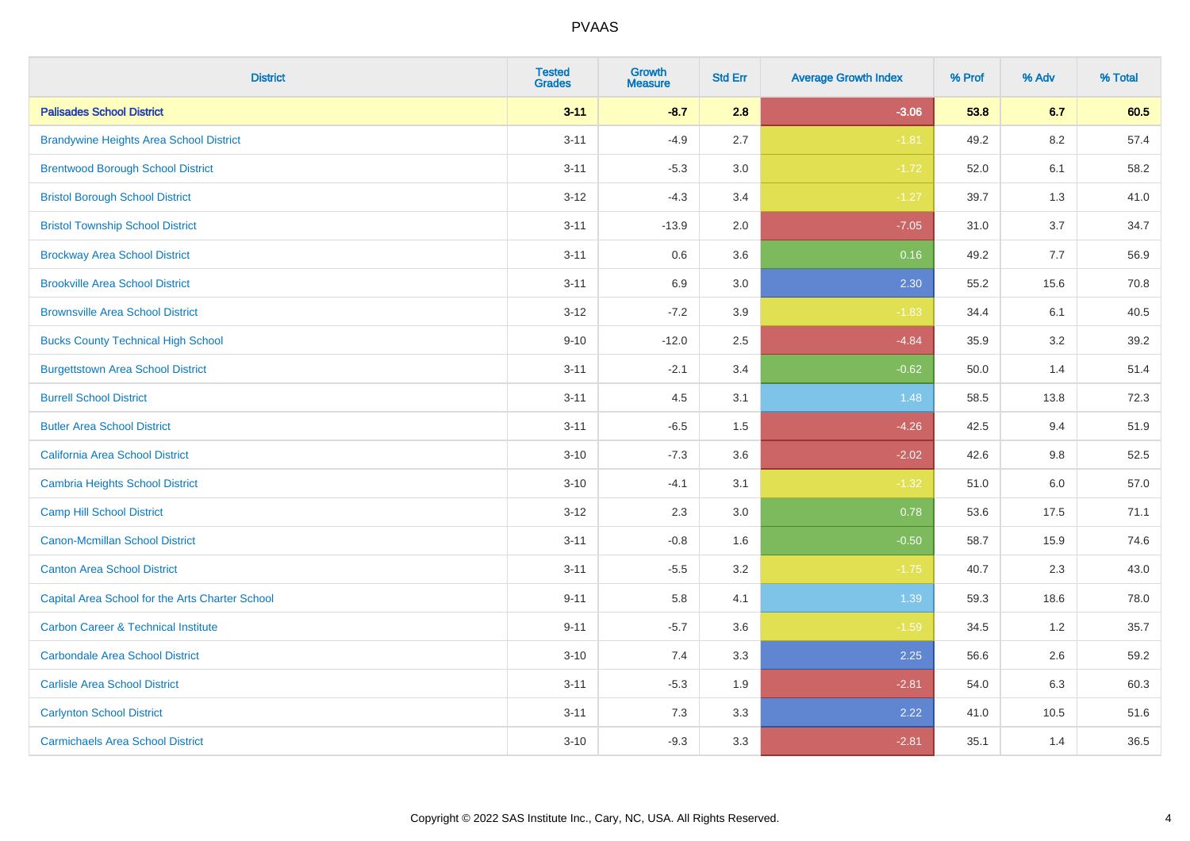| <b>District</b>                                 | <b>Tested</b><br><b>Grades</b> | <b>Growth</b><br><b>Measure</b> | <b>Std Err</b> | <b>Average Growth Index</b> | % Prof | % Adv   | % Total |
|-------------------------------------------------|--------------------------------|---------------------------------|----------------|-----------------------------|--------|---------|---------|
| <b>Palisades School District</b>                | $3 - 11$                       | $-8.7$                          | 2.8            | $-3.06$                     | 53.8   | 6.7     | 60.5    |
| <b>Brandywine Heights Area School District</b>  | $3 - 11$                       | $-4.9$                          | 2.7            | $-1.81$                     | 49.2   | 8.2     | 57.4    |
| <b>Brentwood Borough School District</b>        | $3 - 11$                       | $-5.3$                          | 3.0            | $-1.72$                     | 52.0   | 6.1     | 58.2    |
| <b>Bristol Borough School District</b>          | $3 - 12$                       | $-4.3$                          | 3.4            | $-1.27$                     | 39.7   | 1.3     | 41.0    |
| <b>Bristol Township School District</b>         | $3 - 11$                       | $-13.9$                         | 2.0            | $-7.05$                     | 31.0   | 3.7     | 34.7    |
| <b>Brockway Area School District</b>            | $3 - 11$                       | 0.6                             | 3.6            | 0.16                        | 49.2   | 7.7     | 56.9    |
| <b>Brookville Area School District</b>          | $3 - 11$                       | 6.9                             | 3.0            | 2.30                        | 55.2   | 15.6    | 70.8    |
| <b>Brownsville Area School District</b>         | $3 - 12$                       | $-7.2$                          | 3.9            | $-1.83$                     | 34.4   | 6.1     | 40.5    |
| <b>Bucks County Technical High School</b>       | $9 - 10$                       | $-12.0$                         | 2.5            | $-4.84$                     | 35.9   | 3.2     | 39.2    |
| <b>Burgettstown Area School District</b>        | $3 - 11$                       | $-2.1$                          | 3.4            | $-0.62$                     | 50.0   | 1.4     | 51.4    |
| <b>Burrell School District</b>                  | $3 - 11$                       | 4.5                             | 3.1            | 1.48                        | 58.5   | 13.8    | 72.3    |
| <b>Butler Area School District</b>              | $3 - 11$                       | $-6.5$                          | 1.5            | $-4.26$                     | 42.5   | 9.4     | 51.9    |
| California Area School District                 | $3 - 10$                       | $-7.3$                          | 3.6            | $-2.02$                     | 42.6   | 9.8     | 52.5    |
| <b>Cambria Heights School District</b>          | $3 - 10$                       | $-4.1$                          | 3.1            | $-1.32$                     | 51.0   | $6.0\,$ | 57.0    |
| <b>Camp Hill School District</b>                | $3 - 12$                       | 2.3                             | 3.0            | 0.78                        | 53.6   | 17.5    | 71.1    |
| Canon-Mcmillan School District                  | $3 - 11$                       | $-0.8$                          | 1.6            | $-0.50$                     | 58.7   | 15.9    | 74.6    |
| <b>Canton Area School District</b>              | $3 - 11$                       | $-5.5$                          | 3.2            | $-1.75$                     | 40.7   | 2.3     | 43.0    |
| Capital Area School for the Arts Charter School | $9 - 11$                       | 5.8                             | 4.1            | 1.39                        | 59.3   | 18.6    | 78.0    |
| <b>Carbon Career &amp; Technical Institute</b>  | $9 - 11$                       | $-5.7$                          | 3.6            | $-1.59$                     | 34.5   | 1.2     | 35.7    |
| <b>Carbondale Area School District</b>          | $3 - 10$                       | 7.4                             | 3.3            | 2.25                        | 56.6   | 2.6     | 59.2    |
| <b>Carlisle Area School District</b>            | $3 - 11$                       | $-5.3$                          | 1.9            | $-2.81$                     | 54.0   | 6.3     | 60.3    |
| <b>Carlynton School District</b>                | $3 - 11$                       | 7.3                             | 3.3            | 2.22                        | 41.0   | 10.5    | 51.6    |
| <b>Carmichaels Area School District</b>         | $3 - 10$                       | $-9.3$                          | 3.3            | $-2.81$                     | 35.1   | 1.4     | 36.5    |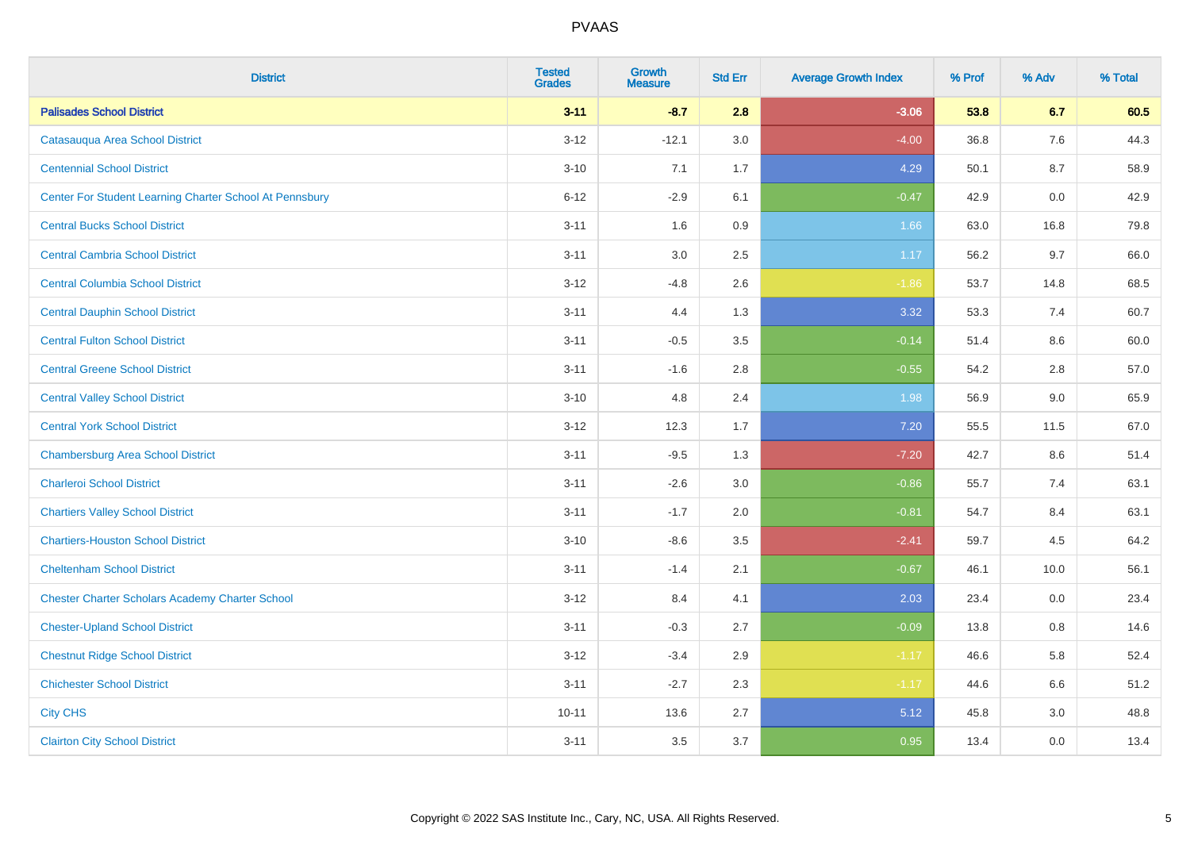| <b>District</b>                                         | <b>Tested</b><br><b>Grades</b> | <b>Growth</b><br><b>Measure</b> | <b>Std Err</b> | <b>Average Growth Index</b> | % Prof | % Adv | % Total |
|---------------------------------------------------------|--------------------------------|---------------------------------|----------------|-----------------------------|--------|-------|---------|
| <b>Palisades School District</b>                        | $3 - 11$                       | $-8.7$                          | 2.8            | $-3.06$                     | 53.8   | 6.7   | 60.5    |
| Catasauqua Area School District                         | $3 - 12$                       | $-12.1$                         | 3.0            | $-4.00$                     | 36.8   | 7.6   | 44.3    |
| <b>Centennial School District</b>                       | $3 - 10$                       | 7.1                             | 1.7            | 4.29                        | 50.1   | 8.7   | 58.9    |
| Center For Student Learning Charter School At Pennsbury | $6 - 12$                       | $-2.9$                          | 6.1            | $-0.47$                     | 42.9   | 0.0   | 42.9    |
| <b>Central Bucks School District</b>                    | $3 - 11$                       | 1.6                             | 0.9            | 1.66                        | 63.0   | 16.8  | 79.8    |
| <b>Central Cambria School District</b>                  | $3 - 11$                       | 3.0                             | 2.5            | 1.17                        | 56.2   | 9.7   | 66.0    |
| <b>Central Columbia School District</b>                 | $3 - 12$                       | $-4.8$                          | 2.6            | $-1.86$                     | 53.7   | 14.8  | 68.5    |
| <b>Central Dauphin School District</b>                  | $3 - 11$                       | 4.4                             | 1.3            | 3.32                        | 53.3   | 7.4   | 60.7    |
| <b>Central Fulton School District</b>                   | $3 - 11$                       | $-0.5$                          | 3.5            | $-0.14$                     | 51.4   | 8.6   | 60.0    |
| <b>Central Greene School District</b>                   | $3 - 11$                       | $-1.6$                          | 2.8            | $-0.55$                     | 54.2   | 2.8   | 57.0    |
| <b>Central Valley School District</b>                   | $3 - 10$                       | 4.8                             | 2.4            | 1.98                        | 56.9   | 9.0   | 65.9    |
| <b>Central York School District</b>                     | $3 - 12$                       | 12.3                            | 1.7            | 7.20                        | 55.5   | 11.5  | 67.0    |
| <b>Chambersburg Area School District</b>                | $3 - 11$                       | $-9.5$                          | 1.3            | $-7.20$                     | 42.7   | 8.6   | 51.4    |
| <b>Charleroi School District</b>                        | $3 - 11$                       | $-2.6$                          | 3.0            | $-0.86$                     | 55.7   | 7.4   | 63.1    |
| <b>Chartiers Valley School District</b>                 | $3 - 11$                       | $-1.7$                          | 2.0            | $-0.81$                     | 54.7   | 8.4   | 63.1    |
| <b>Chartiers-Houston School District</b>                | $3 - 10$                       | $-8.6$                          | 3.5            | $-2.41$                     | 59.7   | 4.5   | 64.2    |
| <b>Cheltenham School District</b>                       | $3 - 11$                       | $-1.4$                          | 2.1            | $-0.67$                     | 46.1   | 10.0  | 56.1    |
| <b>Chester Charter Scholars Academy Charter School</b>  | $3 - 12$                       | 8.4                             | 4.1            | 2.03                        | 23.4   | 0.0   | 23.4    |
| <b>Chester-Upland School District</b>                   | $3 - 11$                       | $-0.3$                          | 2.7            | $-0.09$                     | 13.8   | 0.8   | 14.6    |
| <b>Chestnut Ridge School District</b>                   | $3 - 12$                       | $-3.4$                          | 2.9            | $-1.17$                     | 46.6   | 5.8   | 52.4    |
| <b>Chichester School District</b>                       | $3 - 11$                       | $-2.7$                          | 2.3            | $-1.17$                     | 44.6   | 6.6   | 51.2    |
| <b>City CHS</b>                                         | $10 - 11$                      | 13.6                            | 2.7            | 5.12                        | 45.8   | 3.0   | 48.8    |
| <b>Clairton City School District</b>                    | $3 - 11$                       | 3.5                             | 3.7            | 0.95                        | 13.4   | 0.0   | 13.4    |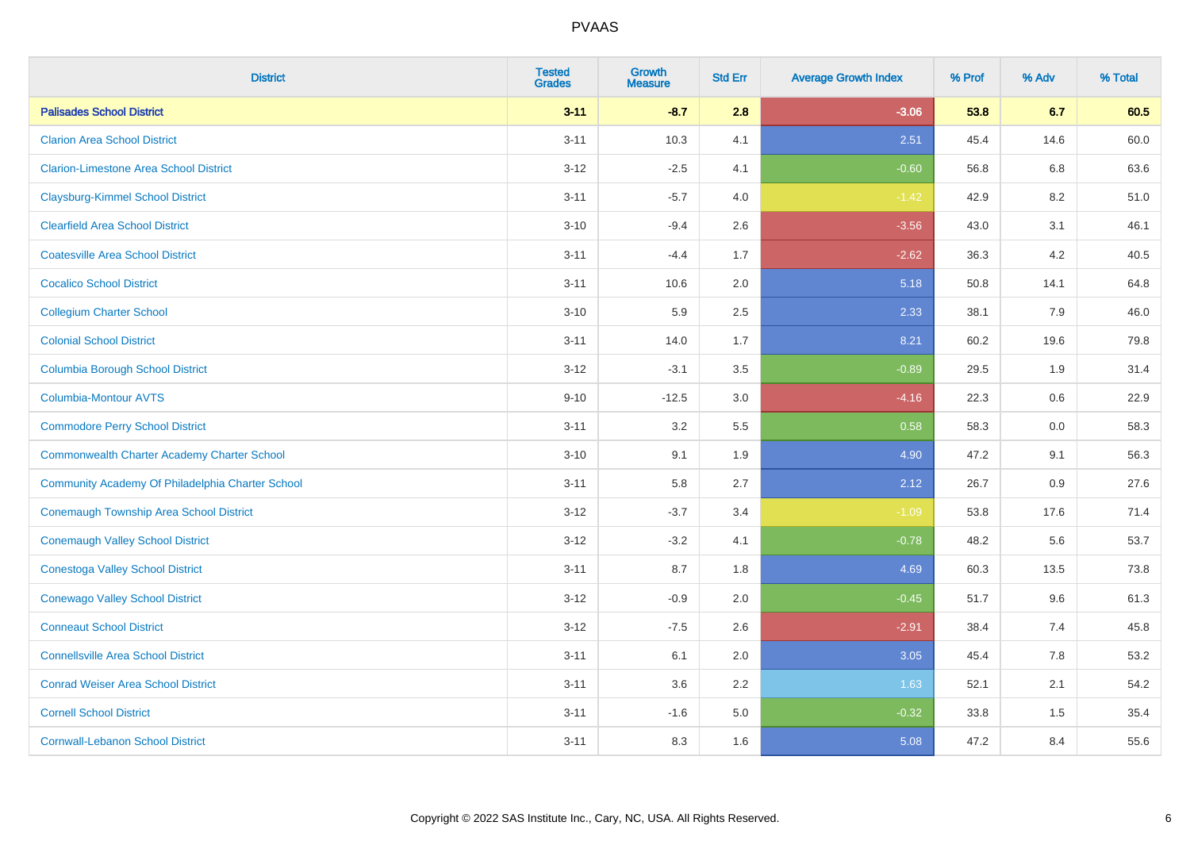| <b>District</b>                                    | <b>Tested</b><br><b>Grades</b> | <b>Growth</b><br><b>Measure</b> | <b>Std Err</b> | <b>Average Growth Index</b> | % Prof | % Adv | % Total |
|----------------------------------------------------|--------------------------------|---------------------------------|----------------|-----------------------------|--------|-------|---------|
| <b>Palisades School District</b>                   | $3 - 11$                       | $-8.7$                          | 2.8            | $-3.06$                     | 53.8   | 6.7   | 60.5    |
| <b>Clarion Area School District</b>                | $3 - 11$                       | 10.3                            | 4.1            | 2.51                        | 45.4   | 14.6  | 60.0    |
| <b>Clarion-Limestone Area School District</b>      | $3 - 12$                       | $-2.5$                          | 4.1            | $-0.60$                     | 56.8   | 6.8   | 63.6    |
| <b>Claysburg-Kimmel School District</b>            | $3 - 11$                       | $-5.7$                          | 4.0            | $-1.42$                     | 42.9   | 8.2   | 51.0    |
| <b>Clearfield Area School District</b>             | $3 - 10$                       | $-9.4$                          | 2.6            | $-3.56$                     | 43.0   | 3.1   | 46.1    |
| <b>Coatesville Area School District</b>            | $3 - 11$                       | $-4.4$                          | 1.7            | $-2.62$                     | 36.3   | 4.2   | 40.5    |
| <b>Cocalico School District</b>                    | $3 - 11$                       | 10.6                            | 2.0            | 5.18                        | 50.8   | 14.1  | 64.8    |
| <b>Collegium Charter School</b>                    | $3 - 10$                       | 5.9                             | 2.5            | 2.33                        | 38.1   | 7.9   | 46.0    |
| <b>Colonial School District</b>                    | $3 - 11$                       | 14.0                            | 1.7            | 8.21                        | 60.2   | 19.6  | 79.8    |
| <b>Columbia Borough School District</b>            | $3-12$                         | $-3.1$                          | 3.5            | $-0.89$                     | 29.5   | 1.9   | 31.4    |
| <b>Columbia-Montour AVTS</b>                       | $9 - 10$                       | $-12.5$                         | 3.0            | $-4.16$                     | 22.3   | 0.6   | 22.9    |
| <b>Commodore Perry School District</b>             | $3 - 11$                       | 3.2                             | 5.5            | 0.58                        | 58.3   | 0.0   | 58.3    |
| <b>Commonwealth Charter Academy Charter School</b> | $3 - 10$                       | 9.1                             | 1.9            | 4.90                        | 47.2   | 9.1   | 56.3    |
| Community Academy Of Philadelphia Charter School   | $3 - 11$                       | 5.8                             | 2.7            | 2.12                        | 26.7   | 0.9   | 27.6    |
| <b>Conemaugh Township Area School District</b>     | $3 - 12$                       | $-3.7$                          | 3.4            | $-1.09$                     | 53.8   | 17.6  | 71.4    |
| <b>Conemaugh Valley School District</b>            | $3 - 12$                       | $-3.2$                          | 4.1            | $-0.78$                     | 48.2   | 5.6   | 53.7    |
| <b>Conestoga Valley School District</b>            | $3 - 11$                       | 8.7                             | 1.8            | 4.69                        | 60.3   | 13.5  | 73.8    |
| <b>Conewago Valley School District</b>             | $3 - 12$                       | $-0.9$                          | 2.0            | $-0.45$                     | 51.7   | 9.6   | 61.3    |
| <b>Conneaut School District</b>                    | $3 - 12$                       | $-7.5$                          | 2.6            | $-2.91$                     | 38.4   | 7.4   | 45.8    |
| <b>Connellsville Area School District</b>          | $3 - 11$                       | 6.1                             | 2.0            | 3.05                        | 45.4   | 7.8   | 53.2    |
| <b>Conrad Weiser Area School District</b>          | $3 - 11$                       | 3.6                             | 2.2            | 1.63                        | 52.1   | 2.1   | 54.2    |
| <b>Cornell School District</b>                     | $3 - 11$                       | $-1.6$                          | 5.0            | $-0.32$                     | 33.8   | 1.5   | 35.4    |
| <b>Cornwall-Lebanon School District</b>            | $3 - 11$                       | 8.3                             | 1.6            | 5.08                        | 47.2   | 8.4   | 55.6    |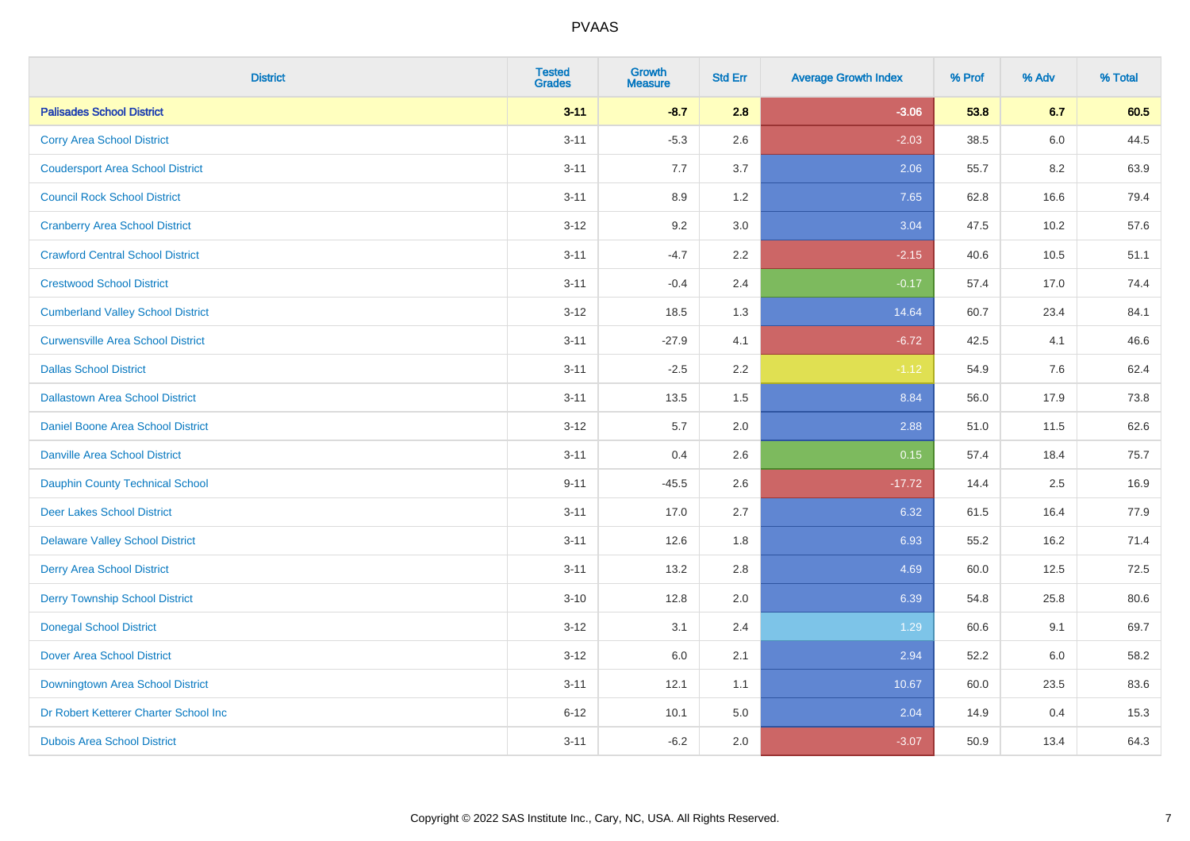| <b>District</b>                          | <b>Tested</b><br><b>Grades</b> | <b>Growth</b><br><b>Measure</b> | <b>Std Err</b> | <b>Average Growth Index</b> | % Prof | % Adv | % Total |
|------------------------------------------|--------------------------------|---------------------------------|----------------|-----------------------------|--------|-------|---------|
| <b>Palisades School District</b>         | $3 - 11$                       | $-8.7$                          | 2.8            | $-3.06$                     | 53.8   | 6.7   | 60.5    |
| <b>Corry Area School District</b>        | $3 - 11$                       | $-5.3$                          | 2.6            | $-2.03$                     | 38.5   | 6.0   | 44.5    |
| <b>Coudersport Area School District</b>  | $3 - 11$                       | 7.7                             | 3.7            | 2.06                        | 55.7   | 8.2   | 63.9    |
| <b>Council Rock School District</b>      | $3 - 11$                       | 8.9                             | 1.2            | 7.65                        | 62.8   | 16.6  | 79.4    |
| <b>Cranberry Area School District</b>    | $3 - 12$                       | 9.2                             | 3.0            | 3.04                        | 47.5   | 10.2  | 57.6    |
| <b>Crawford Central School District</b>  | $3 - 11$                       | $-4.7$                          | 2.2            | $-2.15$                     | 40.6   | 10.5  | 51.1    |
| <b>Crestwood School District</b>         | $3 - 11$                       | $-0.4$                          | 2.4            | $-0.17$                     | 57.4   | 17.0  | 74.4    |
| <b>Cumberland Valley School District</b> | $3 - 12$                       | 18.5                            | 1.3            | 14.64                       | 60.7   | 23.4  | 84.1    |
| <b>Curwensville Area School District</b> | $3 - 11$                       | $-27.9$                         | 4.1            | $-6.72$                     | 42.5   | 4.1   | 46.6    |
| <b>Dallas School District</b>            | $3 - 11$                       | $-2.5$                          | 2.2            | $-1.12$                     | 54.9   | 7.6   | 62.4    |
| <b>Dallastown Area School District</b>   | $3 - 11$                       | 13.5                            | 1.5            | 8.84                        | 56.0   | 17.9  | 73.8    |
| Daniel Boone Area School District        | $3 - 12$                       | 5.7                             | 2.0            | 2.88                        | 51.0   | 11.5  | 62.6    |
| <b>Danville Area School District</b>     | $3 - 11$                       | 0.4                             | 2.6            | 0.15                        | 57.4   | 18.4  | 75.7    |
| <b>Dauphin County Technical School</b>   | $9 - 11$                       | $-45.5$                         | 2.6            | $-17.72$                    | 14.4   | 2.5   | 16.9    |
| <b>Deer Lakes School District</b>        | $3 - 11$                       | 17.0                            | 2.7            | 6.32                        | 61.5   | 16.4  | 77.9    |
| <b>Delaware Valley School District</b>   | $3 - 11$                       | 12.6                            | 1.8            | 6.93                        | 55.2   | 16.2  | 71.4    |
| <b>Derry Area School District</b>        | $3 - 11$                       | 13.2                            | 2.8            | 4.69                        | 60.0   | 12.5  | 72.5    |
| <b>Derry Township School District</b>    | $3 - 10$                       | 12.8                            | 2.0            | 6.39                        | 54.8   | 25.8  | 80.6    |
| <b>Donegal School District</b>           | $3 - 12$                       | 3.1                             | 2.4            | 1.29                        | 60.6   | 9.1   | 69.7    |
| <b>Dover Area School District</b>        | $3 - 12$                       | 6.0                             | 2.1            | 2.94                        | 52.2   | 6.0   | 58.2    |
| Downingtown Area School District         | $3 - 11$                       | 12.1                            | 1.1            | 10.67                       | 60.0   | 23.5  | 83.6    |
| Dr Robert Ketterer Charter School Inc    | $6 - 12$                       | 10.1                            | 5.0            | 2.04                        | 14.9   | 0.4   | 15.3    |
| <b>Dubois Area School District</b>       | $3 - 11$                       | $-6.2$                          | 2.0            | $-3.07$                     | 50.9   | 13.4  | 64.3    |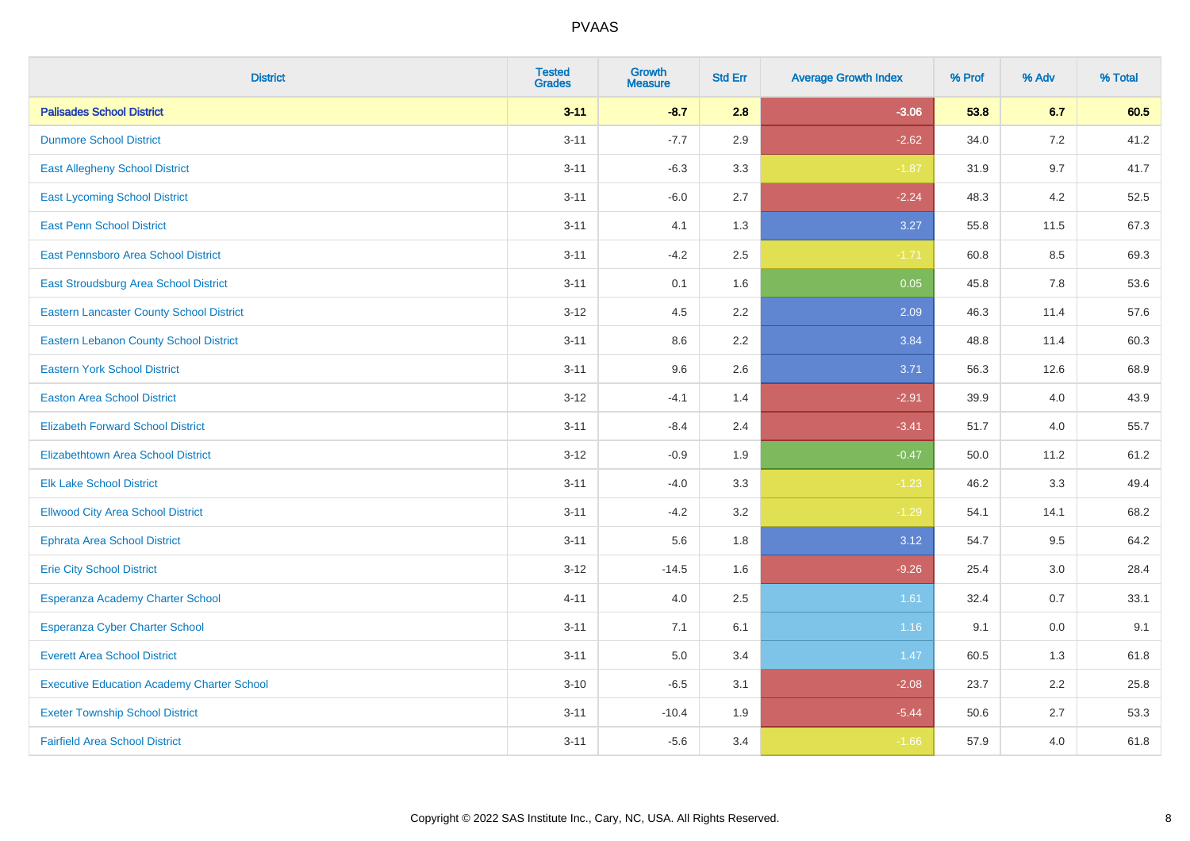| <b>District</b>                                   | <b>Tested</b><br><b>Grades</b> | <b>Growth</b><br><b>Measure</b> | <b>Std Err</b> | <b>Average Growth Index</b> | % Prof | % Adv   | % Total |
|---------------------------------------------------|--------------------------------|---------------------------------|----------------|-----------------------------|--------|---------|---------|
| <b>Palisades School District</b>                  | $3 - 11$                       | $-8.7$                          | 2.8            | $-3.06$                     | 53.8   | 6.7     | 60.5    |
| <b>Dunmore School District</b>                    | $3 - 11$                       | $-7.7$                          | 2.9            | $-2.62$                     | 34.0   | 7.2     | 41.2    |
| <b>East Allegheny School District</b>             | $3 - 11$                       | $-6.3$                          | 3.3            | $-1.87$                     | 31.9   | 9.7     | 41.7    |
| <b>East Lycoming School District</b>              | $3 - 11$                       | $-6.0$                          | 2.7            | $-2.24$                     | 48.3   | 4.2     | 52.5    |
| <b>East Penn School District</b>                  | $3 - 11$                       | 4.1                             | 1.3            | 3.27                        | 55.8   | 11.5    | 67.3    |
| East Pennsboro Area School District               | $3 - 11$                       | $-4.2$                          | 2.5            | $-1.71$                     | 60.8   | 8.5     | 69.3    |
| <b>East Stroudsburg Area School District</b>      | $3 - 11$                       | 0.1                             | 1.6            | 0.05                        | 45.8   | 7.8     | 53.6    |
| <b>Eastern Lancaster County School District</b>   | $3 - 12$                       | 4.5                             | 2.2            | 2.09                        | 46.3   | 11.4    | 57.6    |
| <b>Eastern Lebanon County School District</b>     | $3 - 11$                       | 8.6                             | 2.2            | 3.84                        | 48.8   | 11.4    | 60.3    |
| <b>Eastern York School District</b>               | $3 - 11$                       | 9.6                             | 2.6            | 3.71                        | 56.3   | 12.6    | 68.9    |
| <b>Easton Area School District</b>                | $3 - 12$                       | $-4.1$                          | 1.4            | $-2.91$                     | 39.9   | 4.0     | 43.9    |
| <b>Elizabeth Forward School District</b>          | $3 - 11$                       | $-8.4$                          | 2.4            | $-3.41$                     | 51.7   | 4.0     | 55.7    |
| Elizabethtown Area School District                | $3 - 12$                       | $-0.9$                          | 1.9            | $-0.47$                     | 50.0   | 11.2    | 61.2    |
| <b>Elk Lake School District</b>                   | $3 - 11$                       | $-4.0$                          | 3.3            | $-1.23$                     | 46.2   | 3.3     | 49.4    |
| <b>Ellwood City Area School District</b>          | $3 - 11$                       | $-4.2$                          | 3.2            | $-1.29$                     | 54.1   | 14.1    | 68.2    |
| <b>Ephrata Area School District</b>               | $3 - 11$                       | 5.6                             | 1.8            | 3.12                        | 54.7   | 9.5     | 64.2    |
| <b>Erie City School District</b>                  | $3 - 12$                       | $-14.5$                         | 1.6            | $-9.26$                     | 25.4   | 3.0     | 28.4    |
| Esperanza Academy Charter School                  | $4 - 11$                       | 4.0                             | 2.5            | 1.61                        | 32.4   | 0.7     | 33.1    |
| <b>Esperanza Cyber Charter School</b>             | $3 - 11$                       | 7.1                             | 6.1            | 1.16                        | 9.1    | $0.0\,$ | 9.1     |
| <b>Everett Area School District</b>               | $3 - 11$                       | 5.0                             | 3.4            | 1.47                        | 60.5   | 1.3     | 61.8    |
| <b>Executive Education Academy Charter School</b> | $3 - 10$                       | $-6.5$                          | 3.1            | $-2.08$                     | 23.7   | 2.2     | 25.8    |
| <b>Exeter Township School District</b>            | $3 - 11$                       | $-10.4$                         | 1.9            | $-5.44$                     | 50.6   | 2.7     | 53.3    |
| <b>Fairfield Area School District</b>             | $3 - 11$                       | $-5.6$                          | 3.4            | $-1.66$                     | 57.9   | 4.0     | 61.8    |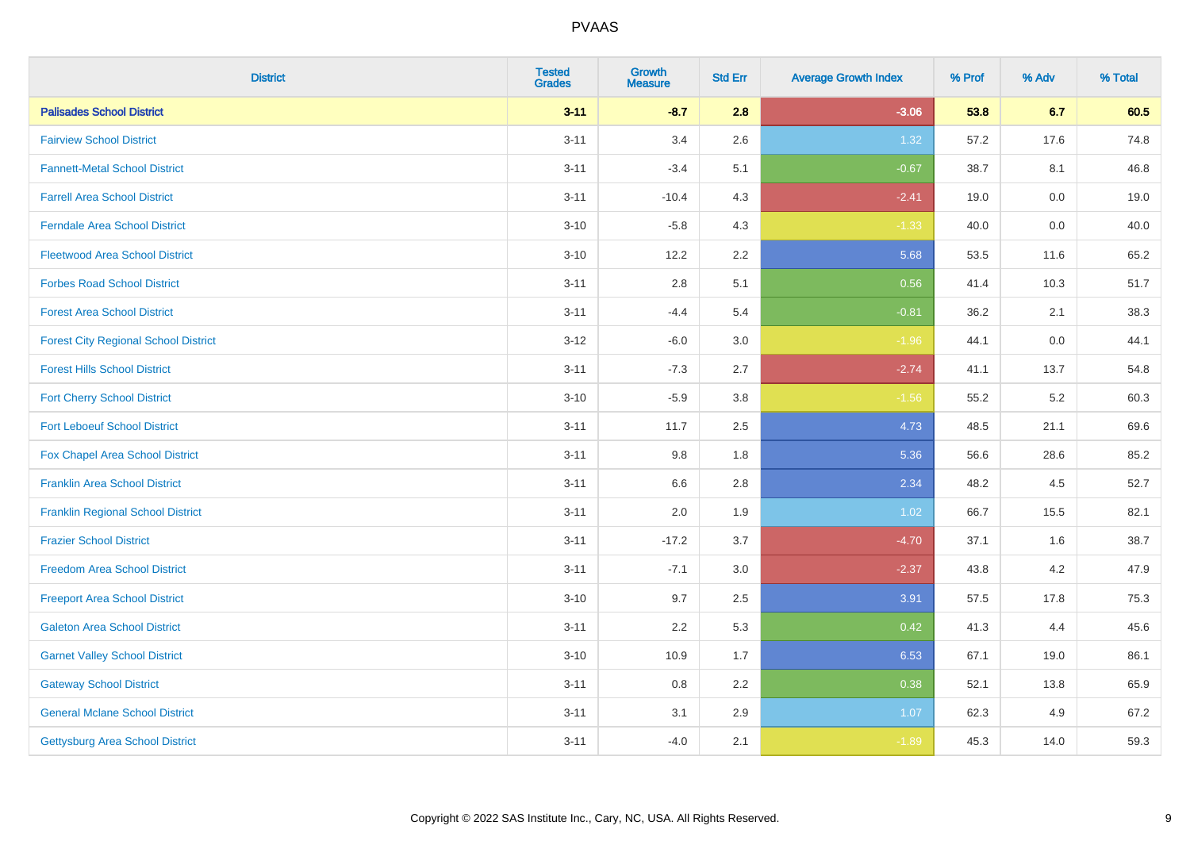| <b>District</b>                             | <b>Tested</b><br><b>Grades</b> | <b>Growth</b><br><b>Measure</b> | <b>Std Err</b> | <b>Average Growth Index</b> | % Prof | % Adv   | % Total |
|---------------------------------------------|--------------------------------|---------------------------------|----------------|-----------------------------|--------|---------|---------|
| <b>Palisades School District</b>            | $3 - 11$                       | $-8.7$                          | 2.8            | $-3.06$                     | 53.8   | 6.7     | 60.5    |
| <b>Fairview School District</b>             | $3 - 11$                       | 3.4                             | 2.6            | 1.32                        | 57.2   | 17.6    | 74.8    |
| <b>Fannett-Metal School District</b>        | $3 - 11$                       | $-3.4$                          | 5.1            | $-0.67$                     | 38.7   | 8.1     | 46.8    |
| <b>Farrell Area School District</b>         | $3 - 11$                       | $-10.4$                         | 4.3            | $-2.41$                     | 19.0   | $0.0\,$ | 19.0    |
| <b>Ferndale Area School District</b>        | $3 - 10$                       | $-5.8$                          | 4.3            | $-1.33$                     | 40.0   | 0.0     | 40.0    |
| <b>Fleetwood Area School District</b>       | $3 - 10$                       | 12.2                            | 2.2            | 5.68                        | 53.5   | 11.6    | 65.2    |
| <b>Forbes Road School District</b>          | $3 - 11$                       | 2.8                             | 5.1            | 0.56                        | 41.4   | 10.3    | 51.7    |
| <b>Forest Area School District</b>          | $3 - 11$                       | $-4.4$                          | 5.4            | $-0.81$                     | 36.2   | 2.1     | 38.3    |
| <b>Forest City Regional School District</b> | $3 - 12$                       | $-6.0$                          | 3.0            | $-1.96$                     | 44.1   | 0.0     | 44.1    |
| <b>Forest Hills School District</b>         | $3 - 11$                       | $-7.3$                          | 2.7            | $-2.74$                     | 41.1   | 13.7    | 54.8    |
| <b>Fort Cherry School District</b>          | $3 - 10$                       | $-5.9$                          | 3.8            | $-1.56$                     | 55.2   | 5.2     | 60.3    |
| <b>Fort Leboeuf School District</b>         | $3 - 11$                       | 11.7                            | 2.5            | 4.73                        | 48.5   | 21.1    | 69.6    |
| <b>Fox Chapel Area School District</b>      | $3 - 11$                       | 9.8                             | 1.8            | 5.36                        | 56.6   | 28.6    | 85.2    |
| <b>Franklin Area School District</b>        | $3 - 11$                       | 6.6                             | 2.8            | 2.34                        | 48.2   | 4.5     | 52.7    |
| <b>Franklin Regional School District</b>    | $3 - 11$                       | 2.0                             | 1.9            | 1.02                        | 66.7   | 15.5    | 82.1    |
| <b>Frazier School District</b>              | $3 - 11$                       | $-17.2$                         | 3.7            | $-4.70$                     | 37.1   | 1.6     | 38.7    |
| <b>Freedom Area School District</b>         | $3 - 11$                       | $-7.1$                          | $3.0\,$        | $-2.37$                     | 43.8   | 4.2     | 47.9    |
| <b>Freeport Area School District</b>        | $3 - 10$                       | 9.7                             | 2.5            | 3.91                        | 57.5   | 17.8    | 75.3    |
| <b>Galeton Area School District</b>         | $3 - 11$                       | 2.2                             | 5.3            | 0.42                        | 41.3   | 4.4     | 45.6    |
| <b>Garnet Valley School District</b>        | $3 - 10$                       | 10.9                            | 1.7            | 6.53                        | 67.1   | 19.0    | 86.1    |
| <b>Gateway School District</b>              | $3 - 11$                       | 0.8                             | 2.2            | 0.38                        | 52.1   | 13.8    | 65.9    |
| <b>General Mclane School District</b>       | $3 - 11$                       | 3.1                             | 2.9            | 1.07                        | 62.3   | 4.9     | 67.2    |
| <b>Gettysburg Area School District</b>      | $3 - 11$                       | $-4.0$                          | 2.1            | $-1.89$                     | 45.3   | 14.0    | 59.3    |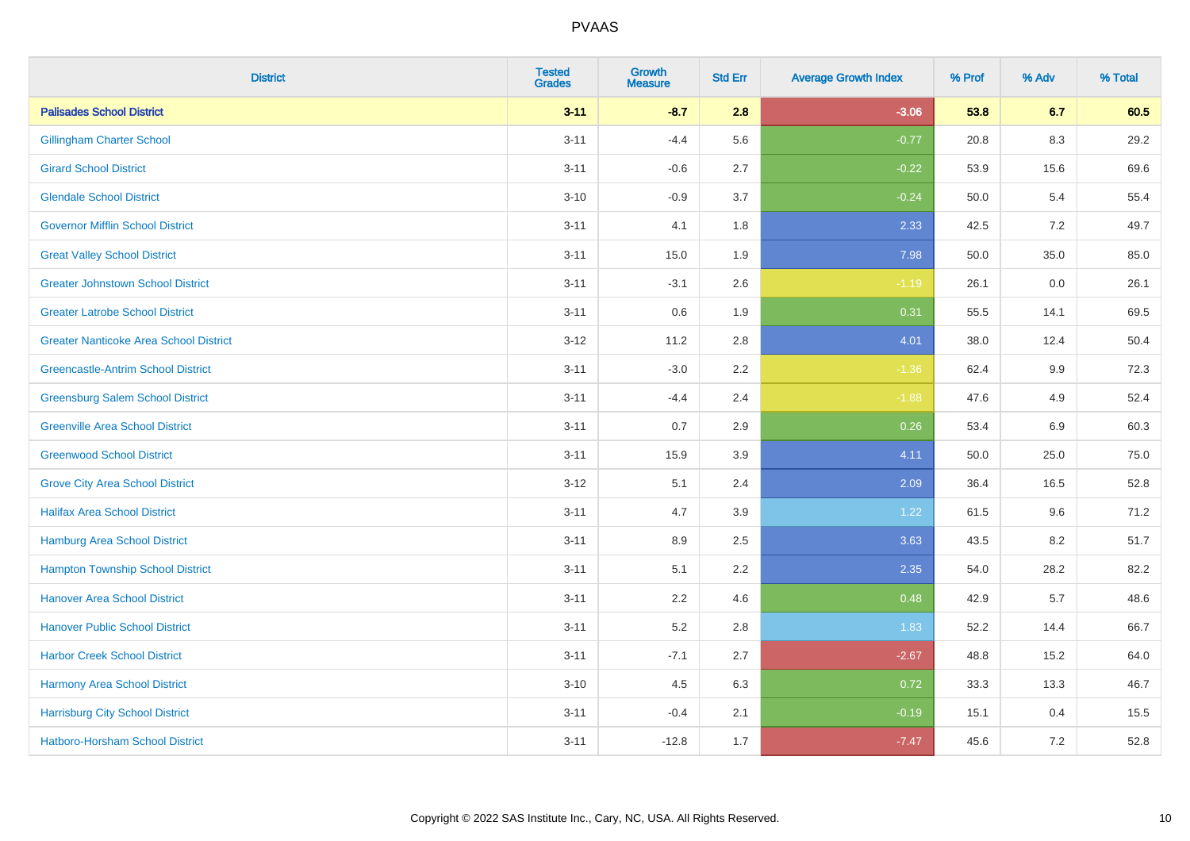| <b>District</b>                               | <b>Tested</b><br><b>Grades</b> | <b>Growth</b><br><b>Measure</b> | <b>Std Err</b> | <b>Average Growth Index</b> | % Prof | % Adv | % Total |
|-----------------------------------------------|--------------------------------|---------------------------------|----------------|-----------------------------|--------|-------|---------|
| <b>Palisades School District</b>              | $3 - 11$                       | $-8.7$                          | 2.8            | $-3.06$                     | 53.8   | 6.7   | 60.5    |
| <b>Gillingham Charter School</b>              | $3 - 11$                       | $-4.4$                          | 5.6            | $-0.77$                     | 20.8   | 8.3   | 29.2    |
| <b>Girard School District</b>                 | $3 - 11$                       | $-0.6$                          | 2.7            | $-0.22$                     | 53.9   | 15.6  | 69.6    |
| <b>Glendale School District</b>               | $3 - 10$                       | $-0.9$                          | 3.7            | $-0.24$                     | 50.0   | 5.4   | 55.4    |
| <b>Governor Mifflin School District</b>       | $3 - 11$                       | 4.1                             | 1.8            | 2.33                        | 42.5   | 7.2   | 49.7    |
| <b>Great Valley School District</b>           | $3 - 11$                       | 15.0                            | 1.9            | 7.98                        | 50.0   | 35.0  | 85.0    |
| <b>Greater Johnstown School District</b>      | $3 - 11$                       | $-3.1$                          | 2.6            | $-1.19$                     | 26.1   | 0.0   | 26.1    |
| <b>Greater Latrobe School District</b>        | $3 - 11$                       | 0.6                             | 1.9            | 0.31                        | 55.5   | 14.1  | 69.5    |
| <b>Greater Nanticoke Area School District</b> | $3 - 12$                       | 11.2                            | 2.8            | 4.01                        | 38.0   | 12.4  | 50.4    |
| <b>Greencastle-Antrim School District</b>     | $3 - 11$                       | $-3.0$                          | 2.2            | $-1.36$                     | 62.4   | 9.9   | 72.3    |
| <b>Greensburg Salem School District</b>       | $3 - 11$                       | $-4.4$                          | 2.4            | $-1.88$                     | 47.6   | 4.9   | 52.4    |
| <b>Greenville Area School District</b>        | $3 - 11$                       | 0.7                             | 2.9            | 0.26                        | 53.4   | 6.9   | 60.3    |
| <b>Greenwood School District</b>              | $3 - 11$                       | 15.9                            | 3.9            | 4.11                        | 50.0   | 25.0  | 75.0    |
| <b>Grove City Area School District</b>        | $3 - 12$                       | 5.1                             | 2.4            | 2.09                        | 36.4   | 16.5  | 52.8    |
| <b>Halifax Area School District</b>           | $3 - 11$                       | 4.7                             | 3.9            | 1.22                        | 61.5   | 9.6   | 71.2    |
| <b>Hamburg Area School District</b>           | $3 - 11$                       | 8.9                             | 2.5            | 3.63                        | 43.5   | 8.2   | 51.7    |
| <b>Hampton Township School District</b>       | $3 - 11$                       | 5.1                             | 2.2            | 2.35                        | 54.0   | 28.2  | 82.2    |
| <b>Hanover Area School District</b>           | $3 - 11$                       | 2.2                             | 4.6            | 0.48                        | 42.9   | 5.7   | 48.6    |
| <b>Hanover Public School District</b>         | $3 - 11$                       | 5.2                             | 2.8            | 1.83                        | 52.2   | 14.4  | 66.7    |
| <b>Harbor Creek School District</b>           | $3 - 11$                       | $-7.1$                          | 2.7            | $-2.67$                     | 48.8   | 15.2  | 64.0    |
| Harmony Area School District                  | $3 - 10$                       | 4.5                             | 6.3            | 0.72                        | 33.3   | 13.3  | 46.7    |
| <b>Harrisburg City School District</b>        | $3 - 11$                       | $-0.4$                          | 2.1            | $-0.19$                     | 15.1   | 0.4   | 15.5    |
| Hatboro-Horsham School District               | $3 - 11$                       | $-12.8$                         | 1.7            | $-7.47$                     | 45.6   | 7.2   | 52.8    |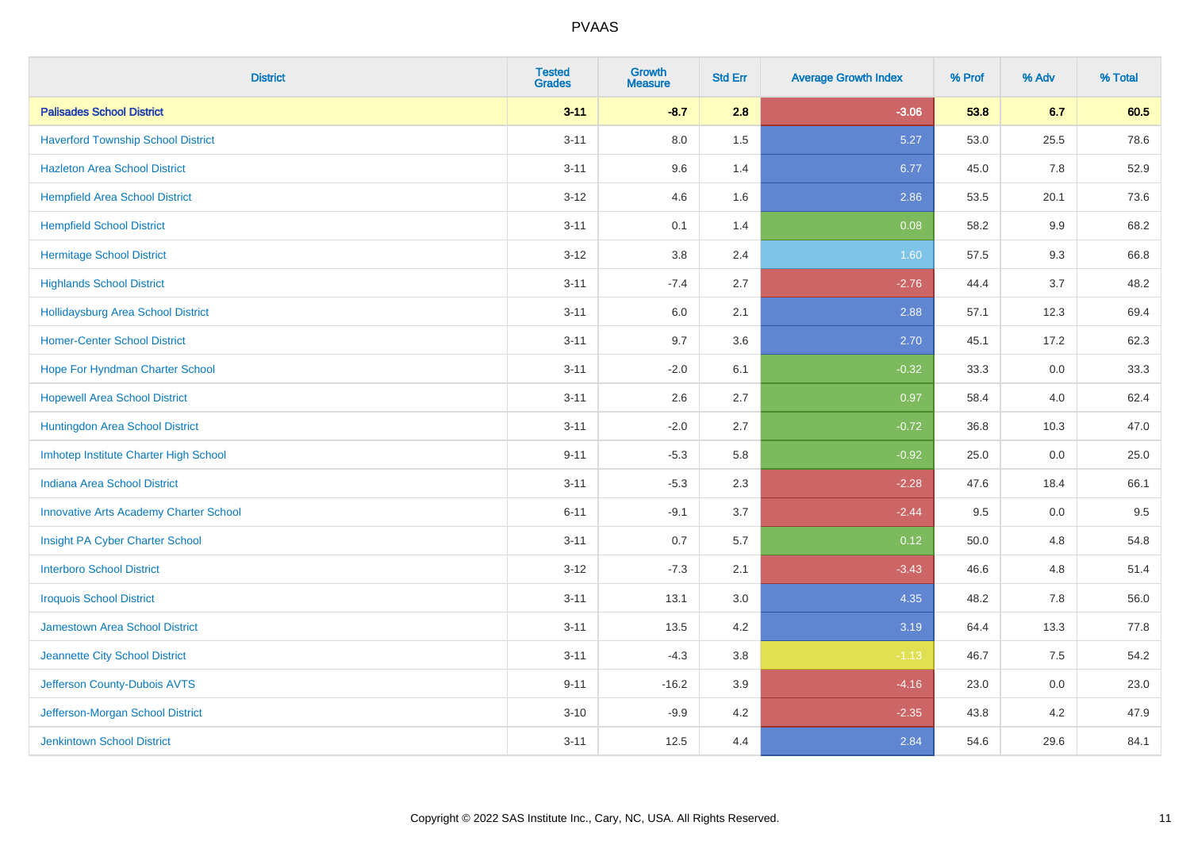| <b>District</b>                               | <b>Tested</b><br><b>Grades</b> | <b>Growth</b><br><b>Measure</b> | <b>Std Err</b> | <b>Average Growth Index</b> | % Prof | % Adv | % Total |
|-----------------------------------------------|--------------------------------|---------------------------------|----------------|-----------------------------|--------|-------|---------|
| <b>Palisades School District</b>              | $3 - 11$                       | $-8.7$                          | 2.8            | $-3.06$                     | 53.8   | 6.7   | 60.5    |
| <b>Haverford Township School District</b>     | $3 - 11$                       | 8.0                             | 1.5            | 5.27                        | 53.0   | 25.5  | 78.6    |
| <b>Hazleton Area School District</b>          | $3 - 11$                       | 9.6                             | 1.4            | 6.77                        | 45.0   | 7.8   | 52.9    |
| <b>Hempfield Area School District</b>         | $3 - 12$                       | 4.6                             | 1.6            | 2.86                        | 53.5   | 20.1  | 73.6    |
| <b>Hempfield School District</b>              | $3 - 11$                       | 0.1                             | 1.4            | 0.08                        | 58.2   | 9.9   | 68.2    |
| <b>Hermitage School District</b>              | $3 - 12$                       | 3.8                             | 2.4            | 1.60                        | 57.5   | 9.3   | 66.8    |
| <b>Highlands School District</b>              | $3 - 11$                       | $-7.4$                          | 2.7            | $-2.76$                     | 44.4   | 3.7   | 48.2    |
| <b>Hollidaysburg Area School District</b>     | $3 - 11$                       | 6.0                             | 2.1            | 2.88                        | 57.1   | 12.3  | 69.4    |
| <b>Homer-Center School District</b>           | $3 - 11$                       | 9.7                             | 3.6            | 2.70                        | 45.1   | 17.2  | 62.3    |
| Hope For Hyndman Charter School               | $3 - 11$                       | $-2.0$                          | 6.1            | $-0.32$                     | 33.3   | 0.0   | 33.3    |
| <b>Hopewell Area School District</b>          | $3 - 11$                       | 2.6                             | 2.7            | 0.97                        | 58.4   | 4.0   | 62.4    |
| Huntingdon Area School District               | $3 - 11$                       | $-2.0$                          | 2.7            | $-0.72$                     | 36.8   | 10.3  | 47.0    |
| Imhotep Institute Charter High School         | $9 - 11$                       | $-5.3$                          | 5.8            | $-0.92$                     | 25.0   | 0.0   | 25.0    |
| <b>Indiana Area School District</b>           | $3 - 11$                       | $-5.3$                          | 2.3            | $-2.28$                     | 47.6   | 18.4  | 66.1    |
| <b>Innovative Arts Academy Charter School</b> | $6 - 11$                       | $-9.1$                          | 3.7            | $-2.44$                     | 9.5    | 0.0   | 9.5     |
| Insight PA Cyber Charter School               | $3 - 11$                       | 0.7                             | 5.7            | 0.12                        | 50.0   | 4.8   | 54.8    |
| <b>Interboro School District</b>              | $3 - 12$                       | $-7.3$                          | 2.1            | $-3.43$                     | 46.6   | 4.8   | 51.4    |
| <b>Iroquois School District</b>               | $3 - 11$                       | 13.1                            | 3.0            | 4.35                        | 48.2   | 7.8   | 56.0    |
| Jamestown Area School District                | $3 - 11$                       | 13.5                            | 4.2            | 3.19                        | 64.4   | 13.3  | 77.8    |
| Jeannette City School District                | $3 - 11$                       | $-4.3$                          | 3.8            | $-1.13$                     | 46.7   | 7.5   | 54.2    |
| Jefferson County-Dubois AVTS                  | $9 - 11$                       | $-16.2$                         | 3.9            | $-4.16$                     | 23.0   | 0.0   | 23.0    |
| Jefferson-Morgan School District              | $3 - 10$                       | $-9.9$                          | 4.2            | $-2.35$                     | 43.8   | 4.2   | 47.9    |
| <b>Jenkintown School District</b>             | $3 - 11$                       | 12.5                            | 4.4            | 2.84                        | 54.6   | 29.6  | 84.1    |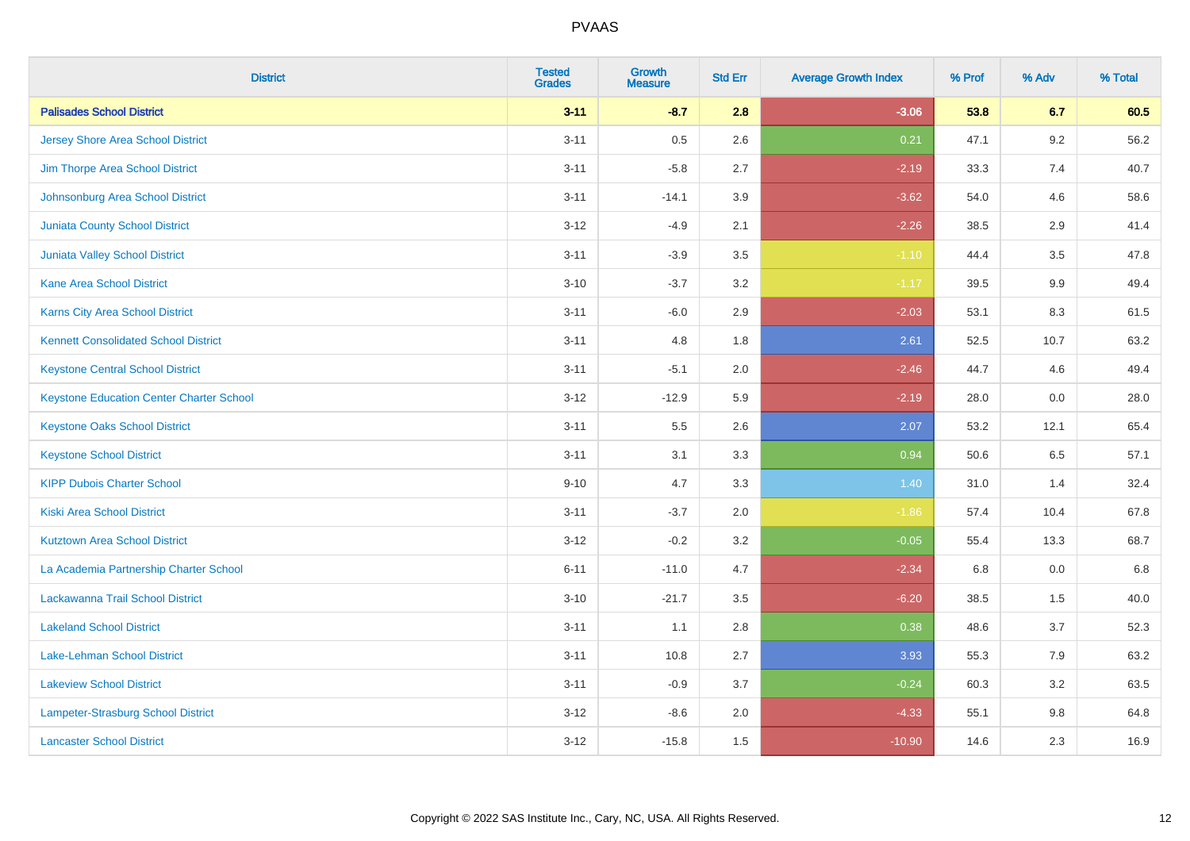| <b>District</b>                                 | <b>Tested</b><br><b>Grades</b> | <b>Growth</b><br><b>Measure</b> | <b>Std Err</b> | <b>Average Growth Index</b> | % Prof | % Adv | % Total |
|-------------------------------------------------|--------------------------------|---------------------------------|----------------|-----------------------------|--------|-------|---------|
| <b>Palisades School District</b>                | $3 - 11$                       | $-8.7$                          | 2.8            | $-3.06$                     | 53.8   | 6.7   | 60.5    |
| <b>Jersey Shore Area School District</b>        | $3 - 11$                       | 0.5                             | 2.6            | 0.21                        | 47.1   | 9.2   | 56.2    |
| Jim Thorpe Area School District                 | $3 - 11$                       | $-5.8$                          | 2.7            | $-2.19$                     | 33.3   | 7.4   | 40.7    |
| Johnsonburg Area School District                | $3 - 11$                       | $-14.1$                         | 3.9            | $-3.62$                     | 54.0   | 4.6   | 58.6    |
| <b>Juniata County School District</b>           | $3 - 12$                       | $-4.9$                          | 2.1            | $-2.26$                     | 38.5   | 2.9   | 41.4    |
| <b>Juniata Valley School District</b>           | $3 - 11$                       | $-3.9$                          | 3.5            | $-1.10$                     | 44.4   | 3.5   | 47.8    |
| <b>Kane Area School District</b>                | $3 - 10$                       | $-3.7$                          | 3.2            | $-1.17$                     | 39.5   | 9.9   | 49.4    |
| Karns City Area School District                 | $3 - 11$                       | $-6.0$                          | 2.9            | $-2.03$                     | 53.1   | 8.3   | 61.5    |
| <b>Kennett Consolidated School District</b>     | $3 - 11$                       | 4.8                             | 1.8            | 2.61                        | 52.5   | 10.7  | 63.2    |
| <b>Keystone Central School District</b>         | $3 - 11$                       | $-5.1$                          | 2.0            | $-2.46$                     | 44.7   | 4.6   | 49.4    |
| <b>Keystone Education Center Charter School</b> | $3 - 12$                       | $-12.9$                         | 5.9            | $-2.19$                     | 28.0   | 0.0   | 28.0    |
| <b>Keystone Oaks School District</b>            | $3 - 11$                       | 5.5                             | 2.6            | 2.07                        | 53.2   | 12.1  | 65.4    |
| <b>Keystone School District</b>                 | $3 - 11$                       | 3.1                             | 3.3            | 0.94                        | 50.6   | 6.5   | 57.1    |
| <b>KIPP Dubois Charter School</b>               | $9 - 10$                       | 4.7                             | 3.3            | 1.40                        | 31.0   | 1.4   | 32.4    |
| <b>Kiski Area School District</b>               | $3 - 11$                       | $-3.7$                          | 2.0            | $-1.86$                     | 57.4   | 10.4  | 67.8    |
| <b>Kutztown Area School District</b>            | $3 - 12$                       | $-0.2$                          | 3.2            | $-0.05$                     | 55.4   | 13.3  | 68.7    |
| La Academia Partnership Charter School          | $6 - 11$                       | $-11.0$                         | 4.7            | $-2.34$                     | 6.8    | 0.0   | 6.8     |
| Lackawanna Trail School District                | $3 - 10$                       | $-21.7$                         | 3.5            | $-6.20$                     | 38.5   | 1.5   | 40.0    |
| <b>Lakeland School District</b>                 | $3 - 11$                       | 1.1                             | 2.8            | 0.38                        | 48.6   | 3.7   | 52.3    |
| Lake-Lehman School District                     | $3 - 11$                       | 10.8                            | 2.7            | 3.93                        | 55.3   | 7.9   | 63.2    |
| <b>Lakeview School District</b>                 | $3 - 11$                       | $-0.9$                          | 3.7            | $-0.24$                     | 60.3   | 3.2   | 63.5    |
| Lampeter-Strasburg School District              | $3 - 12$                       | $-8.6$                          | 2.0            | $-4.33$                     | 55.1   | 9.8   | 64.8    |
| <b>Lancaster School District</b>                | $3 - 12$                       | $-15.8$                         | 1.5            | $-10.90$                    | 14.6   | 2.3   | 16.9    |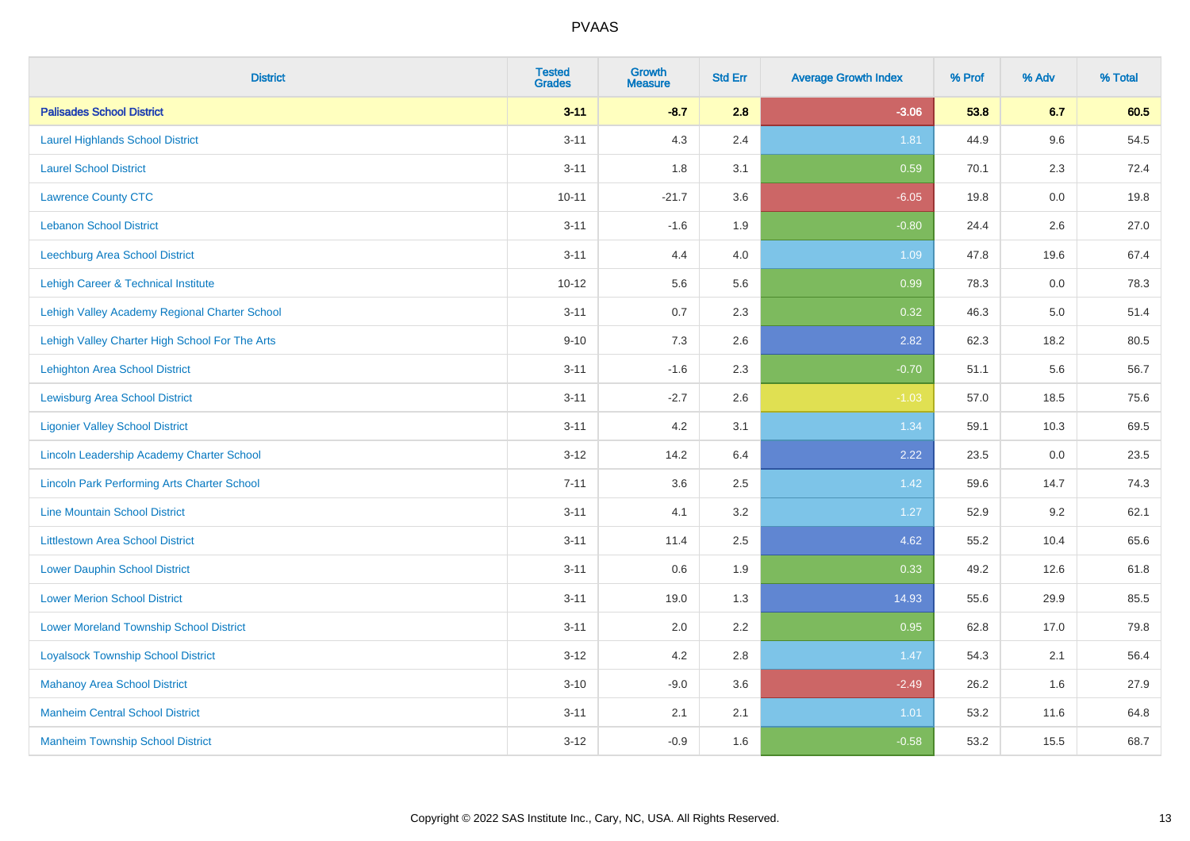| <b>District</b>                                    | <b>Tested</b><br><b>Grades</b> | <b>Growth</b><br><b>Measure</b> | <b>Std Err</b> | <b>Average Growth Index</b> | % Prof | % Adv | % Total |
|----------------------------------------------------|--------------------------------|---------------------------------|----------------|-----------------------------|--------|-------|---------|
| <b>Palisades School District</b>                   | $3 - 11$                       | $-8.7$                          | 2.8            | $-3.06$                     | 53.8   | 6.7   | 60.5    |
| <b>Laurel Highlands School District</b>            | $3 - 11$                       | 4.3                             | 2.4            | 1.81                        | 44.9   | 9.6   | 54.5    |
| <b>Laurel School District</b>                      | $3 - 11$                       | 1.8                             | 3.1            | 0.59                        | 70.1   | 2.3   | 72.4    |
| <b>Lawrence County CTC</b>                         | $10 - 11$                      | $-21.7$                         | 3.6            | $-6.05$                     | 19.8   | 0.0   | 19.8    |
| <b>Lebanon School District</b>                     | $3 - 11$                       | $-1.6$                          | 1.9            | $-0.80$                     | 24.4   | 2.6   | 27.0    |
| Leechburg Area School District                     | $3 - 11$                       | 4.4                             | 4.0            | 1.09                        | 47.8   | 19.6  | 67.4    |
| <b>Lehigh Career &amp; Technical Institute</b>     | $10 - 12$                      | 5.6                             | 5.6            | 0.99                        | 78.3   | 0.0   | 78.3    |
| Lehigh Valley Academy Regional Charter School      | $3 - 11$                       | 0.7                             | 2.3            | 0.32                        | 46.3   | 5.0   | 51.4    |
| Lehigh Valley Charter High School For The Arts     | $9 - 10$                       | 7.3                             | 2.6            | 2.82                        | 62.3   | 18.2  | 80.5    |
| <b>Lehighton Area School District</b>              | $3 - 11$                       | $-1.6$                          | 2.3            | $-0.70$                     | 51.1   | 5.6   | 56.7    |
| <b>Lewisburg Area School District</b>              | $3 - 11$                       | $-2.7$                          | 2.6            | $-1.03$                     | 57.0   | 18.5  | 75.6    |
| <b>Ligonier Valley School District</b>             | $3 - 11$                       | 4.2                             | 3.1            | 1.34                        | 59.1   | 10.3  | 69.5    |
| Lincoln Leadership Academy Charter School          | $3 - 12$                       | 14.2                            | 6.4            | 2.22                        | 23.5   | 0.0   | 23.5    |
| <b>Lincoln Park Performing Arts Charter School</b> | $7 - 11$                       | 3.6                             | 2.5            | 1.42                        | 59.6   | 14.7  | 74.3    |
| <b>Line Mountain School District</b>               | $3 - 11$                       | 4.1                             | 3.2            | 1.27                        | 52.9   | 9.2   | 62.1    |
| <b>Littlestown Area School District</b>            | $3 - 11$                       | 11.4                            | 2.5            | 4.62                        | 55.2   | 10.4  | 65.6    |
| <b>Lower Dauphin School District</b>               | $3 - 11$                       | 0.6                             | 1.9            | 0.33                        | 49.2   | 12.6  | 61.8    |
| <b>Lower Merion School District</b>                | $3 - 11$                       | 19.0                            | 1.3            | 14.93                       | 55.6   | 29.9  | 85.5    |
| <b>Lower Moreland Township School District</b>     | $3 - 11$                       | 2.0                             | 2.2            | 0.95                        | 62.8   | 17.0  | 79.8    |
| <b>Loyalsock Township School District</b>          | $3 - 12$                       | 4.2                             | 2.8            | 1.47                        | 54.3   | 2.1   | 56.4    |
| <b>Mahanoy Area School District</b>                | $3 - 10$                       | $-9.0$                          | 3.6            | $-2.49$                     | 26.2   | 1.6   | 27.9    |
| <b>Manheim Central School District</b>             | $3 - 11$                       | 2.1                             | 2.1            | 1.01                        | 53.2   | 11.6  | 64.8    |
| <b>Manheim Township School District</b>            | $3 - 12$                       | $-0.9$                          | 1.6            | $-0.58$                     | 53.2   | 15.5  | 68.7    |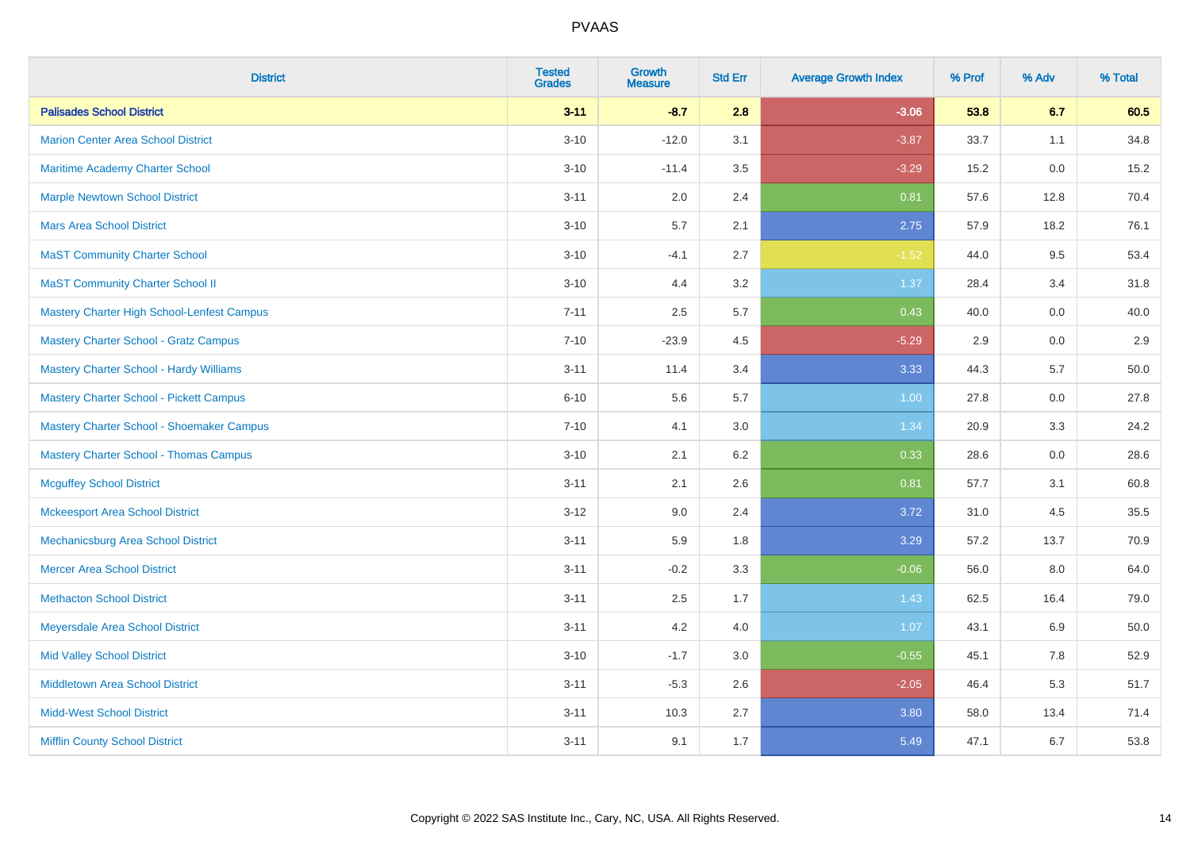| <b>District</b>                                   | <b>Tested</b><br><b>Grades</b> | <b>Growth</b><br><b>Measure</b> | <b>Std Err</b> | <b>Average Growth Index</b> | % Prof | % Adv | % Total |
|---------------------------------------------------|--------------------------------|---------------------------------|----------------|-----------------------------|--------|-------|---------|
| <b>Palisades School District</b>                  | $3 - 11$                       | $-8.7$                          | 2.8            | $-3.06$                     | 53.8   | 6.7   | 60.5    |
| <b>Marion Center Area School District</b>         | $3 - 10$                       | $-12.0$                         | 3.1            | $-3.87$                     | 33.7   | 1.1   | 34.8    |
| Maritime Academy Charter School                   | $3 - 10$                       | $-11.4$                         | 3.5            | $-3.29$                     | 15.2   | 0.0   | 15.2    |
| <b>Marple Newtown School District</b>             | $3 - 11$                       | 2.0                             | 2.4            | 0.81                        | 57.6   | 12.8  | 70.4    |
| <b>Mars Area School District</b>                  | $3 - 10$                       | 5.7                             | 2.1            | 2.75                        | 57.9   | 18.2  | 76.1    |
| <b>MaST Community Charter School</b>              | $3 - 10$                       | $-4.1$                          | 2.7            | $-1.52$                     | 44.0   | 9.5   | 53.4    |
| <b>MaST Community Charter School II</b>           | $3 - 10$                       | 4.4                             | 3.2            | 1.37                        | 28.4   | 3.4   | 31.8    |
| <b>Mastery Charter High School-Lenfest Campus</b> | $7 - 11$                       | 2.5                             | 5.7            | 0.43                        | 40.0   | 0.0   | 40.0    |
| <b>Mastery Charter School - Gratz Campus</b>      | $7 - 10$                       | $-23.9$                         | 4.5            | $-5.29$                     | 2.9    | 0.0   | 2.9     |
| <b>Mastery Charter School - Hardy Williams</b>    | $3 - 11$                       | 11.4                            | 3.4            | 3.33                        | 44.3   | 5.7   | 50.0    |
| <b>Mastery Charter School - Pickett Campus</b>    | $6 - 10$                       | 5.6                             | 5.7            | 1.00                        | 27.8   | 0.0   | 27.8    |
| Mastery Charter School - Shoemaker Campus         | $7 - 10$                       | 4.1                             | 3.0            | 1.34                        | 20.9   | 3.3   | 24.2    |
| <b>Mastery Charter School - Thomas Campus</b>     | $3 - 10$                       | 2.1                             | 6.2            | 0.33                        | 28.6   | 0.0   | 28.6    |
| <b>Mcguffey School District</b>                   | $3 - 11$                       | 2.1                             | 2.6            | 0.81                        | 57.7   | 3.1   | 60.8    |
| <b>Mckeesport Area School District</b>            | $3 - 12$                       | 9.0                             | 2.4            | 3.72                        | 31.0   | 4.5   | 35.5    |
| Mechanicsburg Area School District                | $3 - 11$                       | 5.9                             | 1.8            | 3.29                        | 57.2   | 13.7  | 70.9    |
| <b>Mercer Area School District</b>                | $3 - 11$                       | $-0.2$                          | 3.3            | $-0.06$                     | 56.0   | 8.0   | 64.0    |
| <b>Methacton School District</b>                  | $3 - 11$                       | 2.5                             | 1.7            | 1.43                        | 62.5   | 16.4  | 79.0    |
| Meyersdale Area School District                   | $3 - 11$                       | 4.2                             | 4.0            | 1.07                        | 43.1   | 6.9   | 50.0    |
| <b>Mid Valley School District</b>                 | $3 - 10$                       | $-1.7$                          | 3.0            | $-0.55$                     | 45.1   | 7.8   | 52.9    |
| <b>Middletown Area School District</b>            | $3 - 11$                       | $-5.3$                          | 2.6            | $-2.05$                     | 46.4   | 5.3   | 51.7    |
| <b>Midd-West School District</b>                  | $3 - 11$                       | 10.3                            | 2.7            | 3.80                        | 58.0   | 13.4  | 71.4    |
| <b>Mifflin County School District</b>             | $3 - 11$                       | 9.1                             | 1.7            | 5.49                        | 47.1   | 6.7   | 53.8    |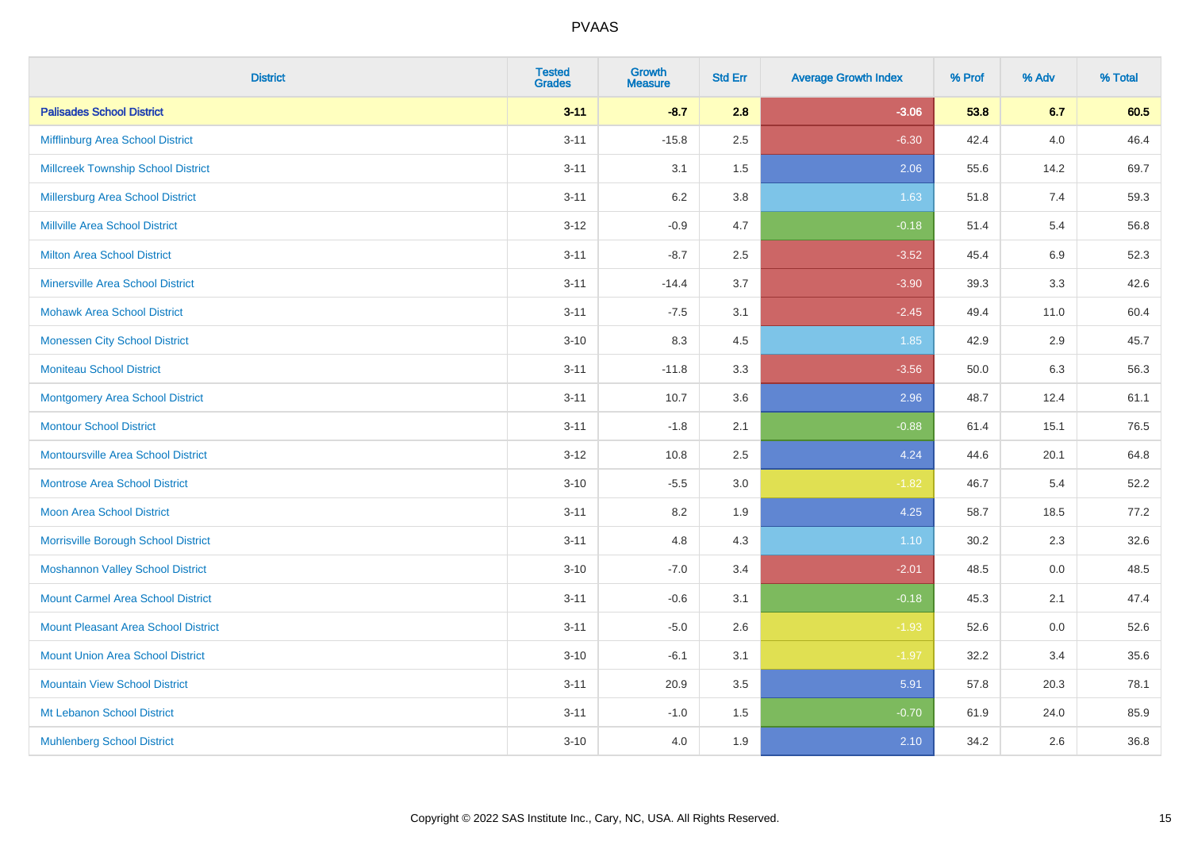| <b>District</b>                            | <b>Tested</b><br><b>Grades</b> | <b>Growth</b><br><b>Measure</b> | <b>Std Err</b> | <b>Average Growth Index</b> | % Prof | % Adv | % Total |
|--------------------------------------------|--------------------------------|---------------------------------|----------------|-----------------------------|--------|-------|---------|
| <b>Palisades School District</b>           | $3 - 11$                       | $-8.7$                          | 2.8            | $-3.06$                     | 53.8   | 6.7   | 60.5    |
| Mifflinburg Area School District           | $3 - 11$                       | $-15.8$                         | 2.5            | $-6.30$                     | 42.4   | 4.0   | 46.4    |
| <b>Millcreek Township School District</b>  | $3 - 11$                       | 3.1                             | 1.5            | 2.06                        | 55.6   | 14.2  | 69.7    |
| <b>Millersburg Area School District</b>    | $3 - 11$                       | $6.2\,$                         | 3.8            | 1.63                        | 51.8   | 7.4   | 59.3    |
| <b>Millville Area School District</b>      | $3-12$                         | $-0.9$                          | 4.7            | $-0.18$                     | 51.4   | 5.4   | 56.8    |
| <b>Milton Area School District</b>         | $3 - 11$                       | $-8.7$                          | 2.5            | $-3.52$                     | 45.4   | 6.9   | 52.3    |
| <b>Minersville Area School District</b>    | $3 - 11$                       | $-14.4$                         | 3.7            | $-3.90$                     | 39.3   | 3.3   | 42.6    |
| <b>Mohawk Area School District</b>         | $3 - 11$                       | $-7.5$                          | 3.1            | $-2.45$                     | 49.4   | 11.0  | 60.4    |
| <b>Monessen City School District</b>       | $3 - 10$                       | 8.3                             | 4.5            | 1.85                        | 42.9   | 2.9   | 45.7    |
| <b>Moniteau School District</b>            | $3 - 11$                       | $-11.8$                         | 3.3            | $-3.56$                     | 50.0   | 6.3   | 56.3    |
| <b>Montgomery Area School District</b>     | $3 - 11$                       | 10.7                            | 3.6            | 2.96                        | 48.7   | 12.4  | 61.1    |
| <b>Montour School District</b>             | $3 - 11$                       | $-1.8$                          | 2.1            | $-0.88$                     | 61.4   | 15.1  | 76.5    |
| <b>Montoursville Area School District</b>  | $3 - 12$                       | 10.8                            | 2.5            | 4.24                        | 44.6   | 20.1  | 64.8    |
| <b>Montrose Area School District</b>       | $3 - 10$                       | $-5.5$                          | 3.0            | $-1.82$                     | 46.7   | 5.4   | 52.2    |
| <b>Moon Area School District</b>           | $3 - 11$                       | 8.2                             | 1.9            | 4.25                        | 58.7   | 18.5  | 77.2    |
| Morrisville Borough School District        | $3 - 11$                       | 4.8                             | 4.3            | 1.10                        | 30.2   | 2.3   | 32.6    |
| <b>Moshannon Valley School District</b>    | $3 - 10$                       | $-7.0$                          | 3.4            | $-2.01$                     | 48.5   | 0.0   | 48.5    |
| <b>Mount Carmel Area School District</b>   | $3 - 11$                       | $-0.6$                          | 3.1            | $-0.18$                     | 45.3   | 2.1   | 47.4    |
| <b>Mount Pleasant Area School District</b> | $3 - 11$                       | $-5.0$                          | 2.6            | $-1.93$                     | 52.6   | 0.0   | 52.6    |
| <b>Mount Union Area School District</b>    | $3 - 10$                       | $-6.1$                          | 3.1            | $-1.97$                     | 32.2   | 3.4   | 35.6    |
| <b>Mountain View School District</b>       | $3 - 11$                       | 20.9                            | 3.5            | 5.91                        | 57.8   | 20.3  | 78.1    |
| Mt Lebanon School District                 | $3 - 11$                       | $-1.0$                          | 1.5            | $-0.70$                     | 61.9   | 24.0  | 85.9    |
| <b>Muhlenberg School District</b>          | $3 - 10$                       | 4.0                             | 1.9            | 2.10                        | 34.2   | 2.6   | 36.8    |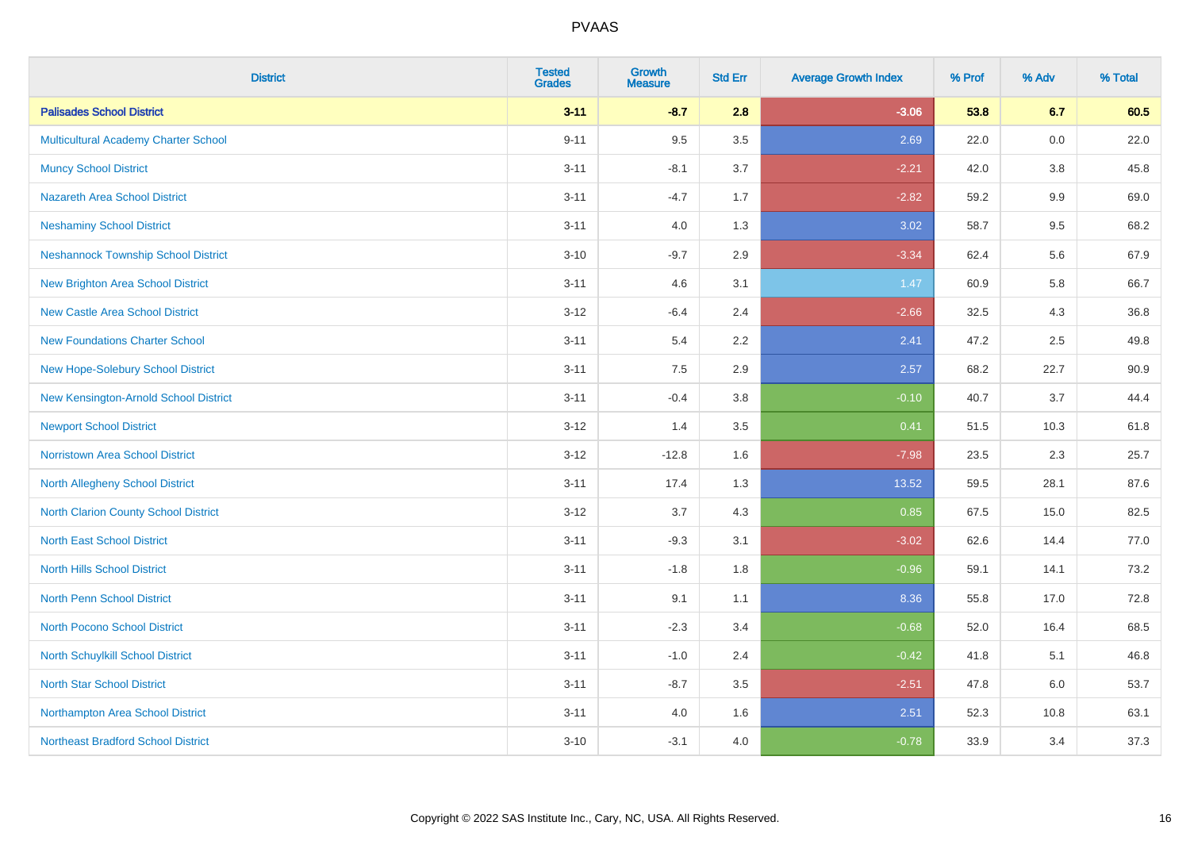| <b>District</b>                             | <b>Tested</b><br><b>Grades</b> | <b>Growth</b><br><b>Measure</b> | <b>Std Err</b> | <b>Average Growth Index</b> | % Prof | % Adv | % Total |
|---------------------------------------------|--------------------------------|---------------------------------|----------------|-----------------------------|--------|-------|---------|
| <b>Palisades School District</b>            | $3 - 11$                       | $-8.7$                          | 2.8            | $-3.06$                     | 53.8   | 6.7   | 60.5    |
| <b>Multicultural Academy Charter School</b> | $9 - 11$                       | 9.5                             | 3.5            | 2.69                        | 22.0   | 0.0   | 22.0    |
| <b>Muncy School District</b>                | $3 - 11$                       | $-8.1$                          | 3.7            | $-2.21$                     | 42.0   | 3.8   | 45.8    |
| <b>Nazareth Area School District</b>        | $3 - 11$                       | $-4.7$                          | 1.7            | $-2.82$                     | 59.2   | 9.9   | 69.0    |
| <b>Neshaminy School District</b>            | $3 - 11$                       | 4.0                             | 1.3            | 3.02                        | 58.7   | 9.5   | 68.2    |
| <b>Neshannock Township School District</b>  | $3 - 10$                       | $-9.7$                          | 2.9            | $-3.34$                     | 62.4   | 5.6   | 67.9    |
| <b>New Brighton Area School District</b>    | $3 - 11$                       | 4.6                             | 3.1            | 1.47                        | 60.9   | 5.8   | 66.7    |
| <b>New Castle Area School District</b>      | $3 - 12$                       | $-6.4$                          | 2.4            | $-2.66$                     | 32.5   | 4.3   | 36.8    |
| <b>New Foundations Charter School</b>       | $3 - 11$                       | 5.4                             | 2.2            | 2.41                        | 47.2   | 2.5   | 49.8    |
| New Hope-Solebury School District           | $3 - 11$                       | 7.5                             | 2.9            | 2.57                        | 68.2   | 22.7  | 90.9    |
| New Kensington-Arnold School District       | $3 - 11$                       | $-0.4$                          | 3.8            | $-0.10$                     | 40.7   | 3.7   | 44.4    |
| <b>Newport School District</b>              | $3 - 12$                       | 1.4                             | 3.5            | 0.41                        | 51.5   | 10.3  | 61.8    |
| <b>Norristown Area School District</b>      | $3 - 12$                       | $-12.8$                         | 1.6            | $-7.98$                     | 23.5   | 2.3   | 25.7    |
| North Allegheny School District             | $3 - 11$                       | 17.4                            | 1.3            | 13.52                       | 59.5   | 28.1  | 87.6    |
| North Clarion County School District        | $3 - 12$                       | 3.7                             | 4.3            | 0.85                        | 67.5   | 15.0  | 82.5    |
| <b>North East School District</b>           | $3 - 11$                       | $-9.3$                          | 3.1            | $-3.02$                     | 62.6   | 14.4  | 77.0    |
| <b>North Hills School District</b>          | $3 - 11$                       | $-1.8$                          | 1.8            | $-0.96$                     | 59.1   | 14.1  | 73.2    |
| <b>North Penn School District</b>           | $3 - 11$                       | 9.1                             | 1.1            | 8.36                        | 55.8   | 17.0  | 72.8    |
| <b>North Pocono School District</b>         | $3 - 11$                       | $-2.3$                          | 3.4            | $-0.68$                     | 52.0   | 16.4  | 68.5    |
| North Schuylkill School District            | $3 - 11$                       | $-1.0$                          | 2.4            | $-0.42$                     | 41.8   | 5.1   | 46.8    |
| <b>North Star School District</b>           | $3 - 11$                       | $-8.7$                          | 3.5            | $-2.51$                     | 47.8   | 6.0   | 53.7    |
| Northampton Area School District            | $3 - 11$                       | 4.0                             | 1.6            | 2.51                        | 52.3   | 10.8  | 63.1    |
| <b>Northeast Bradford School District</b>   | $3 - 10$                       | $-3.1$                          | 4.0            | $-0.78$                     | 33.9   | 3.4   | 37.3    |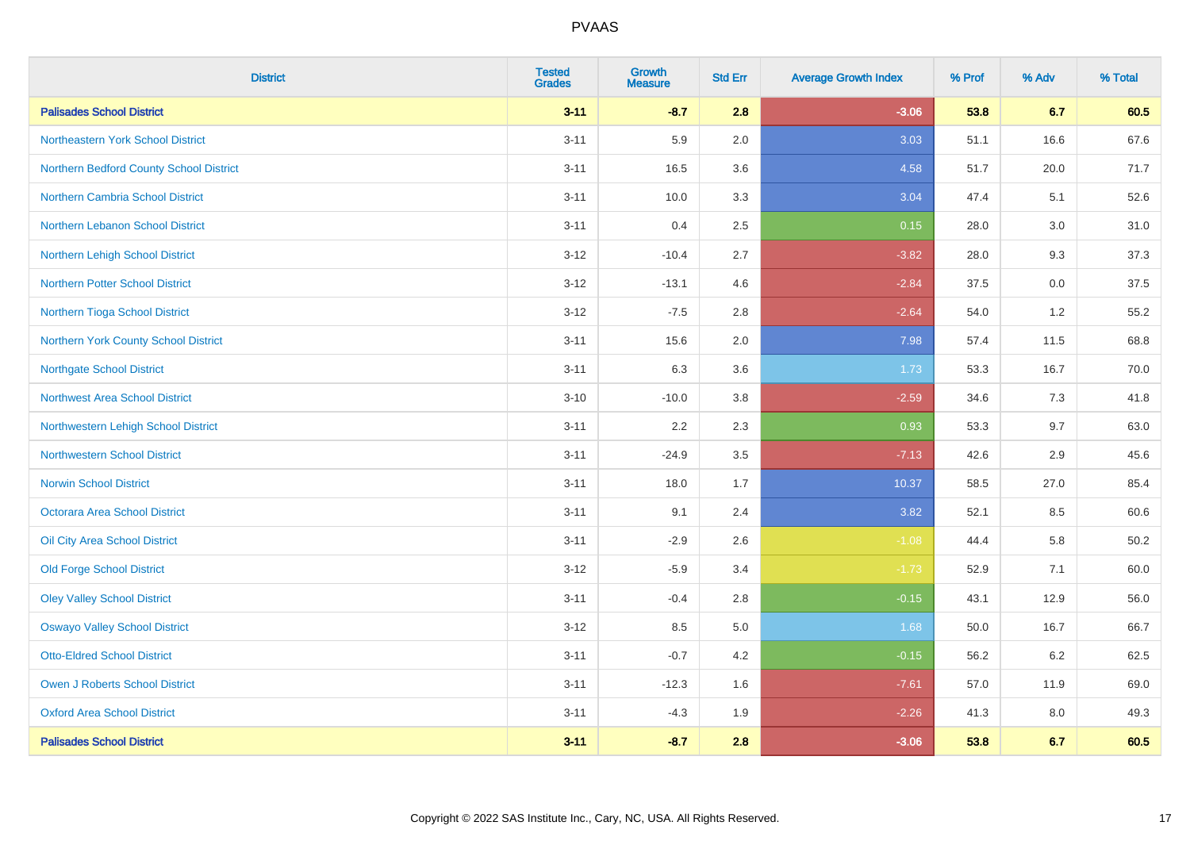| <b>District</b>                          | <b>Tested</b><br><b>Grades</b> | <b>Growth</b><br><b>Measure</b> | <b>Std Err</b> | <b>Average Growth Index</b> | % Prof | % Adv   | % Total |
|------------------------------------------|--------------------------------|---------------------------------|----------------|-----------------------------|--------|---------|---------|
| <b>Palisades School District</b>         | $3 - 11$                       | $-8.7$                          | 2.8            | $-3.06$                     | 53.8   | 6.7     | 60.5    |
| <b>Northeastern York School District</b> | $3 - 11$                       | 5.9                             | 2.0            | 3.03                        | 51.1   | 16.6    | 67.6    |
| Northern Bedford County School District  | $3 - 11$                       | 16.5                            | 3.6            | 4.58                        | 51.7   | 20.0    | 71.7    |
| <b>Northern Cambria School District</b>  | $3 - 11$                       | 10.0                            | 3.3            | 3.04                        | 47.4   | 5.1     | 52.6    |
| Northern Lebanon School District         | $3 - 11$                       | 0.4                             | 2.5            | 0.15                        | 28.0   | 3.0     | 31.0    |
| Northern Lehigh School District          | $3 - 12$                       | $-10.4$                         | 2.7            | $-3.82$                     | 28.0   | 9.3     | 37.3    |
| Northern Potter School District          | $3 - 12$                       | $-13.1$                         | 4.6            | $-2.84$                     | 37.5   | $0.0\,$ | 37.5    |
| Northern Tioga School District           | $3 - 12$                       | $-7.5$                          | 2.8            | $-2.64$                     | 54.0   | 1.2     | 55.2    |
| Northern York County School District     | $3 - 11$                       | 15.6                            | 2.0            | 7.98                        | 57.4   | 11.5    | 68.8    |
| <b>Northgate School District</b>         | $3 - 11$                       | 6.3                             | 3.6            | 1.73                        | 53.3   | 16.7    | 70.0    |
| <b>Northwest Area School District</b>    | $3 - 10$                       | $-10.0$                         | 3.8            | $-2.59$                     | 34.6   | 7.3     | 41.8    |
| Northwestern Lehigh School District      | $3 - 11$                       | 2.2                             | 2.3            | 0.93                        | 53.3   | 9.7     | 63.0    |
| <b>Northwestern School District</b>      | $3 - 11$                       | $-24.9$                         | 3.5            | $-7.13$                     | 42.6   | 2.9     | 45.6    |
| <b>Norwin School District</b>            | $3 - 11$                       | 18.0                            | 1.7            | 10.37                       | 58.5   | 27.0    | 85.4    |
| <b>Octorara Area School District</b>     | $3 - 11$                       | 9.1                             | 2.4            | 3.82                        | 52.1   | 8.5     | 60.6    |
| Oil City Area School District            | $3 - 11$                       | $-2.9$                          | 2.6            | $-1.08$                     | 44.4   | 5.8     | 50.2    |
| <b>Old Forge School District</b>         | $3 - 12$                       | $-5.9$                          | 3.4            | $-1.73$                     | 52.9   | 7.1     | 60.0    |
| <b>Oley Valley School District</b>       | $3 - 11$                       | $-0.4$                          | 2.8            | $-0.15$                     | 43.1   | 12.9    | 56.0    |
| <b>Oswayo Valley School District</b>     | $3 - 12$                       | 8.5                             | 5.0            | 1.68                        | 50.0   | 16.7    | 66.7    |
| <b>Otto-Eldred School District</b>       | $3 - 11$                       | $-0.7$                          | 4.2            | $-0.15$                     | 56.2   | 6.2     | 62.5    |
| Owen J Roberts School District           | $3 - 11$                       | $-12.3$                         | 1.6            | $-7.61$                     | 57.0   | 11.9    | 69.0    |
| <b>Oxford Area School District</b>       | $3 - 11$                       | $-4.3$                          | 1.9            | $-2.26$                     | 41.3   | 8.0     | 49.3    |
| <b>Palisades School District</b>         | $3 - 11$                       | $-8.7$                          | 2.8            | $-3.06$                     | 53.8   | 6.7     | 60.5    |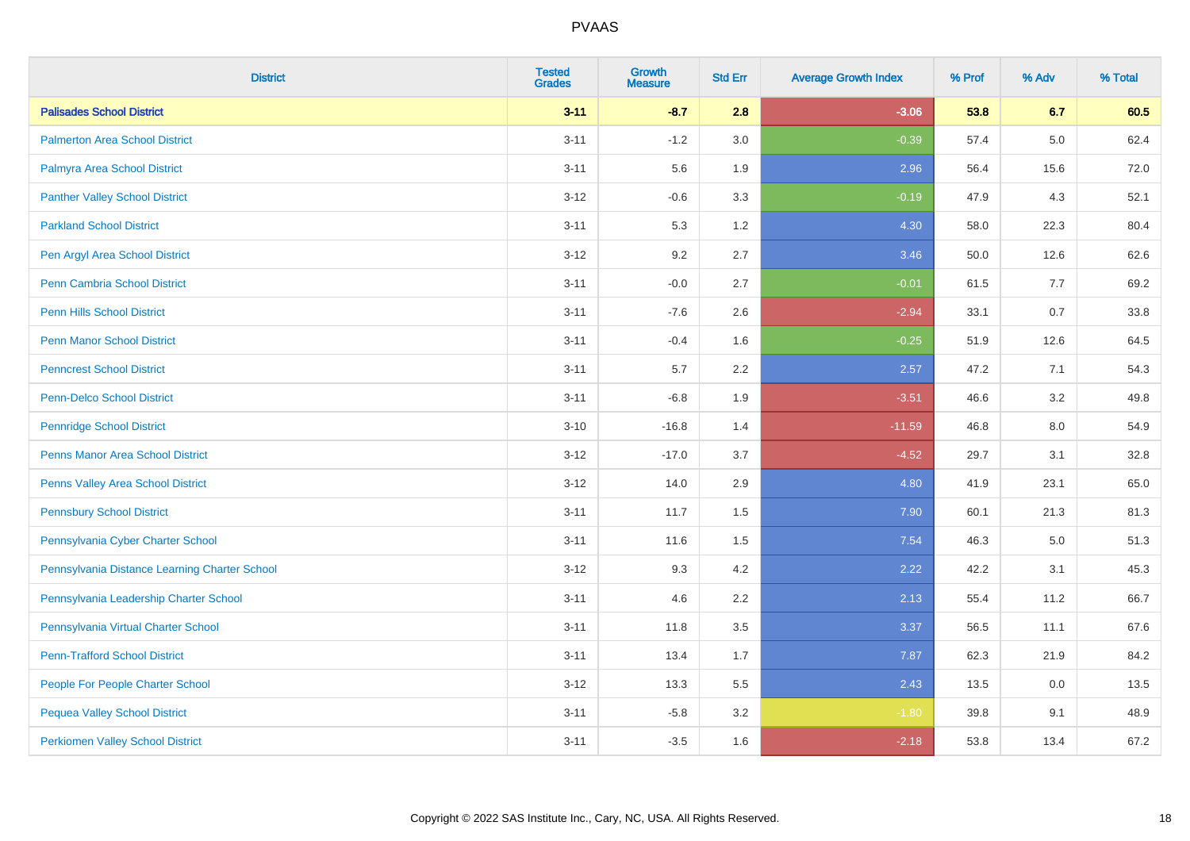| <b>District</b>                               | <b>Tested</b><br><b>Grades</b> | Growth<br><b>Measure</b> | <b>Std Err</b> | <b>Average Growth Index</b> | % Prof | % Adv   | % Total |
|-----------------------------------------------|--------------------------------|--------------------------|----------------|-----------------------------|--------|---------|---------|
| <b>Palisades School District</b>              | $3 - 11$                       | $-8.7$                   | 2.8            | $-3.06$                     | 53.8   | 6.7     | 60.5    |
| <b>Palmerton Area School District</b>         | $3 - 11$                       | $-1.2$                   | 3.0            | $-0.39$                     | 57.4   | 5.0     | 62.4    |
| Palmyra Area School District                  | $3 - 11$                       | 5.6                      | 1.9            | 2.96                        | 56.4   | 15.6    | 72.0    |
| <b>Panther Valley School District</b>         | $3 - 12$                       | $-0.6$                   | 3.3            | $-0.19$                     | 47.9   | 4.3     | 52.1    |
| <b>Parkland School District</b>               | $3 - 11$                       | 5.3                      | 1.2            | 4.30                        | 58.0   | 22.3    | 80.4    |
| Pen Argyl Area School District                | $3 - 12$                       | 9.2                      | 2.7            | 3.46                        | 50.0   | 12.6    | 62.6    |
| <b>Penn Cambria School District</b>           | $3 - 11$                       | $-0.0$                   | 2.7            | $-0.01$                     | 61.5   | 7.7     | 69.2    |
| <b>Penn Hills School District</b>             | $3 - 11$                       | $-7.6$                   | 2.6            | $-2.94$                     | 33.1   | 0.7     | 33.8    |
| <b>Penn Manor School District</b>             | $3 - 11$                       | $-0.4$                   | 1.6            | $-0.25$                     | 51.9   | 12.6    | 64.5    |
| <b>Penncrest School District</b>              | $3 - 11$                       | 5.7                      | 2.2            | 2.57                        | 47.2   | 7.1     | 54.3    |
| Penn-Delco School District                    | $3 - 11$                       | $-6.8$                   | 1.9            | $-3.51$                     | 46.6   | 3.2     | 49.8    |
| <b>Pennridge School District</b>              | $3 - 10$                       | $-16.8$                  | 1.4            | $-11.59$                    | 46.8   | 8.0     | 54.9    |
| <b>Penns Manor Area School District</b>       | $3 - 12$                       | $-17.0$                  | 3.7            | $-4.52$                     | 29.7   | 3.1     | 32.8    |
| Penns Valley Area School District             | $3 - 12$                       | 14.0                     | 2.9            | 4.80                        | 41.9   | 23.1    | 65.0    |
| <b>Pennsbury School District</b>              | $3 - 11$                       | 11.7                     | 1.5            | 7.90                        | 60.1   | 21.3    | 81.3    |
| Pennsylvania Cyber Charter School             | $3 - 11$                       | 11.6                     | 1.5            | 7.54                        | 46.3   | $5.0\,$ | 51.3    |
| Pennsylvania Distance Learning Charter School | $3 - 12$                       | 9.3                      | 4.2            | 2.22                        | 42.2   | 3.1     | 45.3    |
| Pennsylvania Leadership Charter School        | $3 - 11$                       | 4.6                      | 2.2            | 2.13                        | 55.4   | 11.2    | 66.7    |
| Pennsylvania Virtual Charter School           | $3 - 11$                       | 11.8                     | 3.5            | 3.37                        | 56.5   | 11.1    | 67.6    |
| <b>Penn-Trafford School District</b>          | $3 - 11$                       | 13.4                     | 1.7            | 7.87                        | 62.3   | 21.9    | 84.2    |
| People For People Charter School              | $3 - 12$                       | 13.3                     | 5.5            | 2.43                        | 13.5   | 0.0     | 13.5    |
| <b>Pequea Valley School District</b>          | $3 - 11$                       | $-5.8$                   | 3.2            | $-1.80$                     | 39.8   | 9.1     | 48.9    |
| <b>Perkiomen Valley School District</b>       | $3 - 11$                       | $-3.5$                   | 1.6            | $-2.18$                     | 53.8   | 13.4    | 67.2    |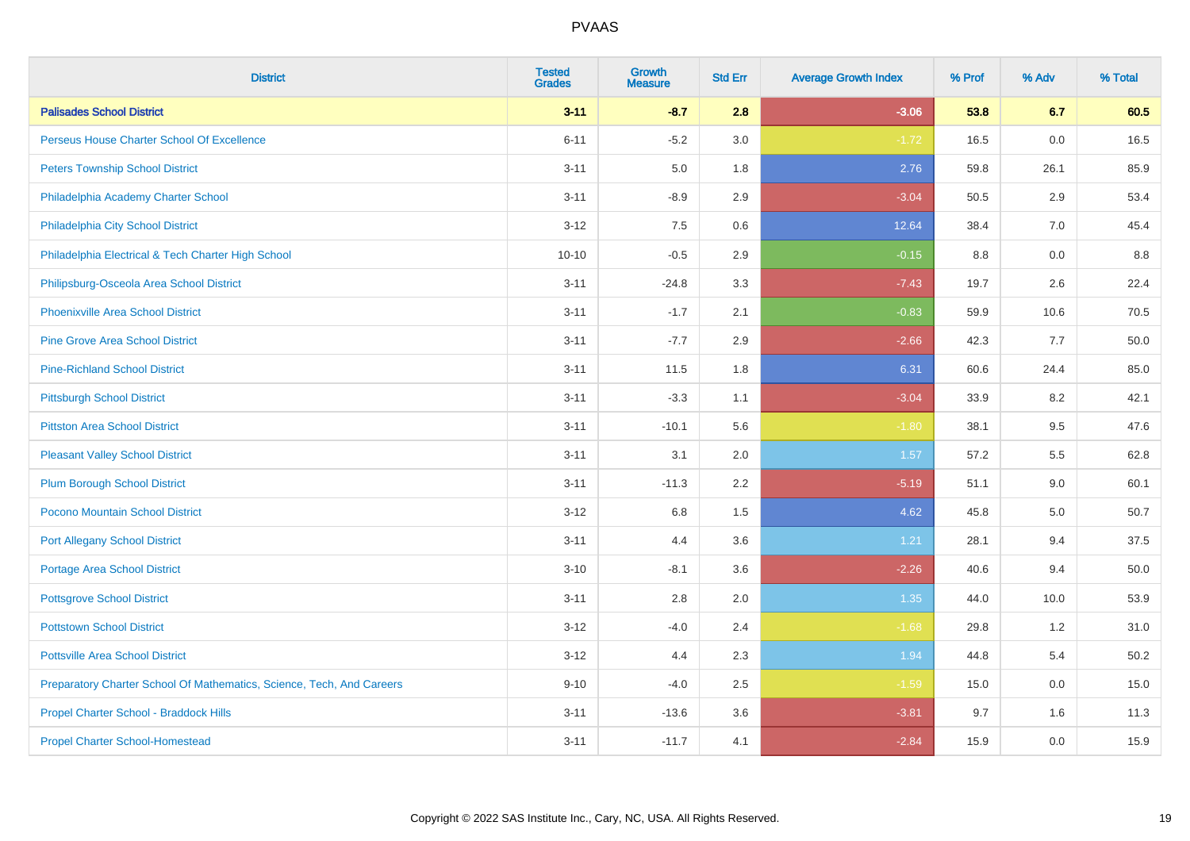| <b>District</b>                                                       | <b>Tested</b><br><b>Grades</b> | <b>Growth</b><br><b>Measure</b> | <b>Std Err</b> | <b>Average Growth Index</b> | % Prof | % Adv | % Total |
|-----------------------------------------------------------------------|--------------------------------|---------------------------------|----------------|-----------------------------|--------|-------|---------|
| <b>Palisades School District</b>                                      | $3 - 11$                       | $-8.7$                          | 2.8            | $-3.06$                     | 53.8   | 6.7   | 60.5    |
| Perseus House Charter School Of Excellence                            | $6 - 11$                       | $-5.2$                          | 3.0            | $-1.72$                     | 16.5   | 0.0   | 16.5    |
| <b>Peters Township School District</b>                                | $3 - 11$                       | 5.0                             | 1.8            | 2.76                        | 59.8   | 26.1  | 85.9    |
| Philadelphia Academy Charter School                                   | $3 - 11$                       | $-8.9$                          | 2.9            | $-3.04$                     | 50.5   | 2.9   | 53.4    |
| Philadelphia City School District                                     | $3 - 12$                       | 7.5                             | 0.6            | 12.64                       | 38.4   | 7.0   | 45.4    |
| Philadelphia Electrical & Tech Charter High School                    | $10 - 10$                      | $-0.5$                          | 2.9            | $-0.15$                     | 8.8    | 0.0   | 8.8     |
| Philipsburg-Osceola Area School District                              | $3 - 11$                       | $-24.8$                         | 3.3            | $-7.43$                     | 19.7   | 2.6   | 22.4    |
| <b>Phoenixville Area School District</b>                              | $3 - 11$                       | $-1.7$                          | 2.1            | $-0.83$                     | 59.9   | 10.6  | 70.5    |
| <b>Pine Grove Area School District</b>                                | $3 - 11$                       | $-7.7$                          | 2.9            | $-2.66$                     | 42.3   | 7.7   | 50.0    |
| <b>Pine-Richland School District</b>                                  | $3 - 11$                       | 11.5                            | 1.8            | 6.31                        | 60.6   | 24.4  | 85.0    |
| <b>Pittsburgh School District</b>                                     | $3 - 11$                       | $-3.3$                          | 1.1            | $-3.04$                     | 33.9   | 8.2   | 42.1    |
| <b>Pittston Area School District</b>                                  | $3 - 11$                       | $-10.1$                         | 5.6            | $-1.80$                     | 38.1   | 9.5   | 47.6    |
| <b>Pleasant Valley School District</b>                                | $3 - 11$                       | 3.1                             | 2.0            | 1.57                        | 57.2   | 5.5   | 62.8    |
| <b>Plum Borough School District</b>                                   | $3 - 11$                       | $-11.3$                         | 2.2            | $-5.19$                     | 51.1   | 9.0   | 60.1    |
| Pocono Mountain School District                                       | $3 - 12$                       | $6.8\,$                         | 1.5            | 4.62                        | 45.8   | 5.0   | 50.7    |
| <b>Port Allegany School District</b>                                  | $3 - 11$                       | 4.4                             | 3.6            | 1.21                        | 28.1   | 9.4   | 37.5    |
| <b>Portage Area School District</b>                                   | $3 - 10$                       | $-8.1$                          | 3.6            | $-2.26$                     | 40.6   | 9.4   | 50.0    |
| <b>Pottsgrove School District</b>                                     | $3 - 11$                       | 2.8                             | 2.0            | 1.35                        | 44.0   | 10.0  | 53.9    |
| <b>Pottstown School District</b>                                      | $3 - 12$                       | $-4.0$                          | 2.4            | $-1.68$                     | 29.8   | 1.2   | 31.0    |
| <b>Pottsville Area School District</b>                                | $3 - 12$                       | 4.4                             | 2.3            | 1.94                        | 44.8   | 5.4   | 50.2    |
| Preparatory Charter School Of Mathematics, Science, Tech, And Careers | $9 - 10$                       | $-4.0$                          | 2.5            | $-1.59$                     | 15.0   | 0.0   | 15.0    |
| Propel Charter School - Braddock Hills                                | $3 - 11$                       | $-13.6$                         | 3.6            | $-3.81$                     | 9.7    | 1.6   | 11.3    |
| <b>Propel Charter School-Homestead</b>                                | $3 - 11$                       | $-11.7$                         | 4.1            | $-2.84$                     | 15.9   | 0.0   | 15.9    |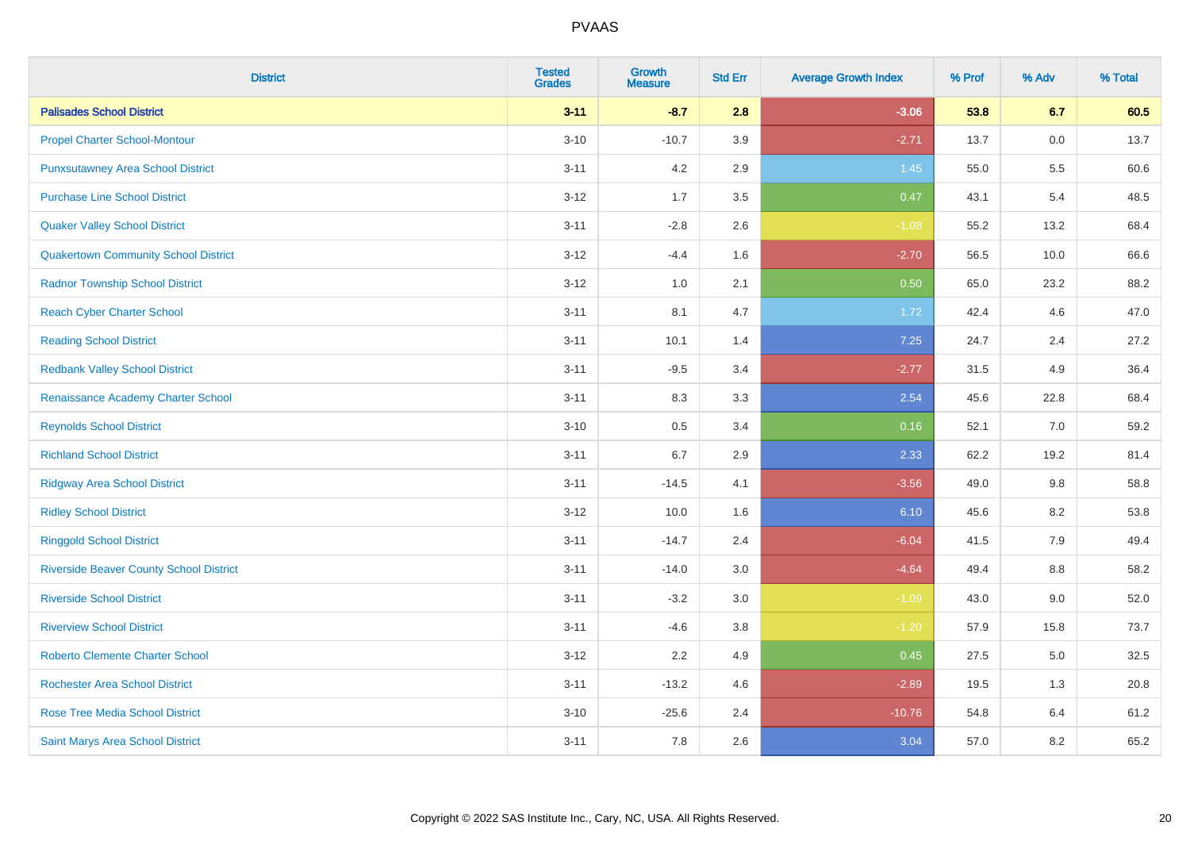| <b>District</b>                                | <b>Tested</b><br><b>Grades</b> | <b>Growth</b><br><b>Measure</b> | <b>Std Err</b> | <b>Average Growth Index</b> | % Prof | % Adv | % Total |
|------------------------------------------------|--------------------------------|---------------------------------|----------------|-----------------------------|--------|-------|---------|
| <b>Palisades School District</b>               | $3 - 11$                       | $-8.7$                          | 2.8            | $-3.06$                     | 53.8   | 6.7   | 60.5    |
| <b>Propel Charter School-Montour</b>           | $3 - 10$                       | $-10.7$                         | 3.9            | $-2.71$                     | 13.7   | 0.0   | 13.7    |
| <b>Punxsutawney Area School District</b>       | $3 - 11$                       | 4.2                             | 2.9            | 1.45                        | 55.0   | 5.5   | 60.6    |
| <b>Purchase Line School District</b>           | $3 - 12$                       | 1.7                             | 3.5            | 0.47                        | 43.1   | 5.4   | 48.5    |
| <b>Quaker Valley School District</b>           | $3 - 11$                       | $-2.8$                          | 2.6            | $-1.08$                     | 55.2   | 13.2  | 68.4    |
| <b>Quakertown Community School District</b>    | $3 - 12$                       | $-4.4$                          | 1.6            | $-2.70$                     | 56.5   | 10.0  | 66.6    |
| <b>Radnor Township School District</b>         | $3 - 12$                       | $1.0\,$                         | 2.1            | 0.50                        | 65.0   | 23.2  | 88.2    |
| <b>Reach Cyber Charter School</b>              | $3 - 11$                       | 8.1                             | 4.7            | 1.72                        | 42.4   | 4.6   | 47.0    |
| <b>Reading School District</b>                 | $3 - 11$                       | 10.1                            | 1.4            | 7.25                        | 24.7   | 2.4   | 27.2    |
| <b>Redbank Valley School District</b>          | $3 - 11$                       | $-9.5$                          | 3.4            | $-2.77$                     | 31.5   | 4.9   | 36.4    |
| Renaissance Academy Charter School             | $3 - 11$                       | 8.3                             | 3.3            | 2.54                        | 45.6   | 22.8  | 68.4    |
| <b>Reynolds School District</b>                | $3 - 10$                       | 0.5                             | 3.4            | 0.16                        | 52.1   | 7.0   | 59.2    |
| <b>Richland School District</b>                | $3 - 11$                       | 6.7                             | 2.9            | 2.33                        | 62.2   | 19.2  | 81.4    |
| <b>Ridgway Area School District</b>            | $3 - 11$                       | $-14.5$                         | 4.1            | $-3.56$                     | 49.0   | 9.8   | 58.8    |
| <b>Ridley School District</b>                  | $3 - 12$                       | 10.0                            | 1.6            | 6.10                        | 45.6   | 8.2   | 53.8    |
| <b>Ringgold School District</b>                | $3 - 11$                       | $-14.7$                         | 2.4            | $-6.04$                     | 41.5   | 7.9   | 49.4    |
| <b>Riverside Beaver County School District</b> | $3 - 11$                       | $-14.0$                         | 3.0            | $-4.64$                     | 49.4   | 8.8   | 58.2    |
| <b>Riverside School District</b>               | $3 - 11$                       | $-3.2$                          | 3.0            | $-1.09$                     | 43.0   | 9.0   | 52.0    |
| <b>Riverview School District</b>               | $3 - 11$                       | $-4.6$                          | 3.8            | $-1.20$                     | 57.9   | 15.8  | 73.7    |
| <b>Roberto Clemente Charter School</b>         | $3 - 12$                       | 2.2                             | 4.9            | 0.45                        | 27.5   | 5.0   | 32.5    |
| <b>Rochester Area School District</b>          | $3 - 11$                       | $-13.2$                         | 4.6            | $-2.89$                     | 19.5   | 1.3   | 20.8    |
| <b>Rose Tree Media School District</b>         | $3 - 10$                       | $-25.6$                         | 2.4            | $-10.76$                    | 54.8   | 6.4   | 61.2    |
| Saint Marys Area School District               | $3 - 11$                       | 7.8                             | 2.6            | 3.04                        | 57.0   | 8.2   | 65.2    |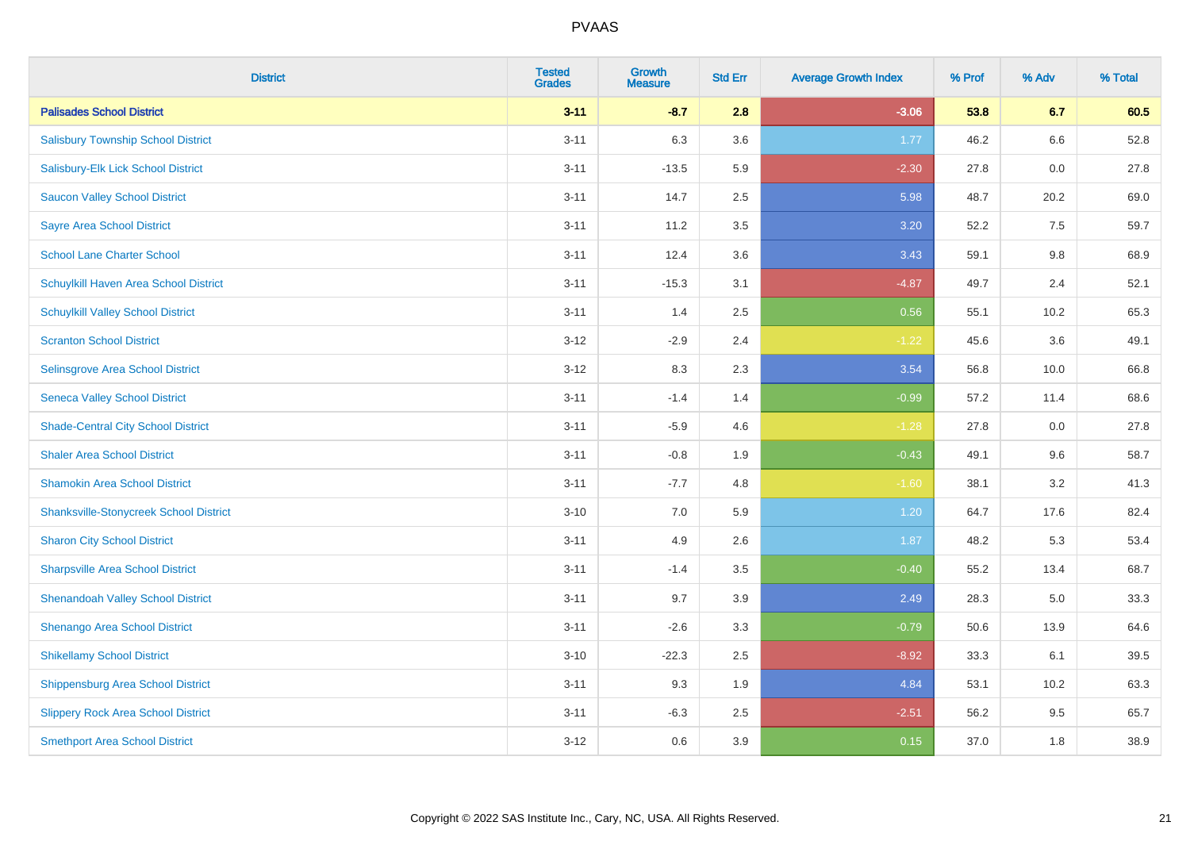| <b>District</b>                               | <b>Tested</b><br><b>Grades</b> | <b>Growth</b><br><b>Measure</b> | <b>Std Err</b> | <b>Average Growth Index</b> | % Prof | % Adv | % Total |
|-----------------------------------------------|--------------------------------|---------------------------------|----------------|-----------------------------|--------|-------|---------|
| <b>Palisades School District</b>              | $3 - 11$                       | $-8.7$                          | 2.8            | $-3.06$                     | 53.8   | 6.7   | 60.5    |
| <b>Salisbury Township School District</b>     | $3 - 11$                       | 6.3                             | 3.6            | 1.77                        | 46.2   | 6.6   | 52.8    |
| Salisbury-Elk Lick School District            | $3 - 11$                       | $-13.5$                         | 5.9            | $-2.30$                     | 27.8   | 0.0   | 27.8    |
| <b>Saucon Valley School District</b>          | $3 - 11$                       | 14.7                            | 2.5            | 5.98                        | 48.7   | 20.2  | 69.0    |
| <b>Sayre Area School District</b>             | $3 - 11$                       | 11.2                            | 3.5            | 3.20                        | 52.2   | 7.5   | 59.7    |
| <b>School Lane Charter School</b>             | $3 - 11$                       | 12.4                            | 3.6            | 3.43                        | 59.1   | 9.8   | 68.9    |
| Schuylkill Haven Area School District         | $3 - 11$                       | $-15.3$                         | 3.1            | $-4.87$                     | 49.7   | 2.4   | 52.1    |
| <b>Schuylkill Valley School District</b>      | $3 - 11$                       | 1.4                             | 2.5            | 0.56                        | 55.1   | 10.2  | 65.3    |
| <b>Scranton School District</b>               | $3 - 12$                       | $-2.9$                          | 2.4            | $-1.22$                     | 45.6   | 3.6   | 49.1    |
| Selinsgrove Area School District              | $3 - 12$                       | 8.3                             | 2.3            | 3.54                        | 56.8   | 10.0  | 66.8    |
| <b>Seneca Valley School District</b>          | $3 - 11$                       | $-1.4$                          | 1.4            | $-0.99$                     | 57.2   | 11.4  | 68.6    |
| <b>Shade-Central City School District</b>     | $3 - 11$                       | $-5.9$                          | 4.6            | $-1.28$                     | 27.8   | 0.0   | 27.8    |
| <b>Shaler Area School District</b>            | $3 - 11$                       | $-0.8$                          | 1.9            | $-0.43$                     | 49.1   | 9.6   | 58.7    |
| <b>Shamokin Area School District</b>          | $3 - 11$                       | $-7.7$                          | 4.8            | $-1.60$                     | 38.1   | 3.2   | 41.3    |
| <b>Shanksville-Stonycreek School District</b> | $3 - 10$                       | 7.0                             | 5.9            | 1.20                        | 64.7   | 17.6  | 82.4    |
| <b>Sharon City School District</b>            | $3 - 11$                       | 4.9                             | 2.6            | 1.87                        | 48.2   | 5.3   | 53.4    |
| <b>Sharpsville Area School District</b>       | $3 - 11$                       | $-1.4$                          | 3.5            | $-0.40$                     | 55.2   | 13.4  | 68.7    |
| <b>Shenandoah Valley School District</b>      | $3 - 11$                       | 9.7                             | 3.9            | 2.49                        | 28.3   | 5.0   | 33.3    |
| Shenango Area School District                 | $3 - 11$                       | $-2.6$                          | 3.3            | $-0.79$                     | 50.6   | 13.9  | 64.6    |
| <b>Shikellamy School District</b>             | $3 - 10$                       | $-22.3$                         | 2.5            | $-8.92$                     | 33.3   | 6.1   | 39.5    |
| <b>Shippensburg Area School District</b>      | $3 - 11$                       | 9.3                             | 1.9            | 4.84                        | 53.1   | 10.2  | 63.3    |
| <b>Slippery Rock Area School District</b>     | $3 - 11$                       | $-6.3$                          | 2.5            | $-2.51$                     | 56.2   | 9.5   | 65.7    |
| <b>Smethport Area School District</b>         | $3-12$                         | 0.6                             | 3.9            | 0.15                        | 37.0   | 1.8   | 38.9    |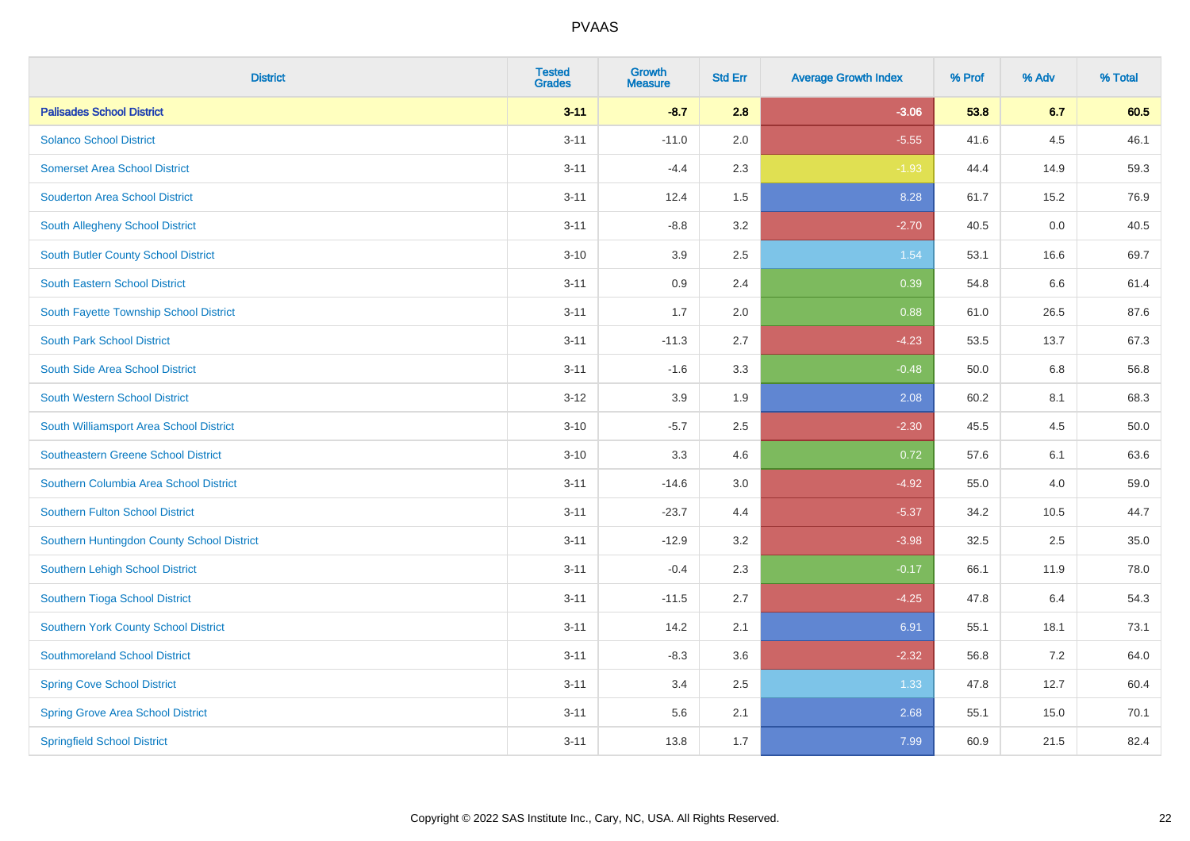| <b>District</b>                            | <b>Tested</b><br><b>Grades</b> | <b>Growth</b><br><b>Measure</b> | <b>Std Err</b> | <b>Average Growth Index</b> | % Prof | % Adv | % Total |
|--------------------------------------------|--------------------------------|---------------------------------|----------------|-----------------------------|--------|-------|---------|
| <b>Palisades School District</b>           | $3 - 11$                       | $-8.7$                          | 2.8            | $-3.06$                     | 53.8   | 6.7   | 60.5    |
| <b>Solanco School District</b>             | $3 - 11$                       | $-11.0$                         | 2.0            | $-5.55$                     | 41.6   | 4.5   | 46.1    |
| <b>Somerset Area School District</b>       | $3 - 11$                       | $-4.4$                          | 2.3            | $-1.93$                     | 44.4   | 14.9  | 59.3    |
| <b>Souderton Area School District</b>      | $3 - 11$                       | 12.4                            | 1.5            | 8.28                        | 61.7   | 15.2  | 76.9    |
| South Allegheny School District            | $3 - 11$                       | $-8.8$                          | 3.2            | $-2.70$                     | 40.5   | 0.0   | 40.5    |
| South Butler County School District        | $3 - 10$                       | 3.9                             | 2.5            | 1.54                        | 53.1   | 16.6  | 69.7    |
| South Eastern School District              | $3 - 11$                       | 0.9                             | 2.4            | 0.39                        | 54.8   | 6.6   | 61.4    |
| South Fayette Township School District     | $3 - 11$                       | 1.7                             | 2.0            | 0.88                        | 61.0   | 26.5  | 87.6    |
| <b>South Park School District</b>          | $3 - 11$                       | $-11.3$                         | 2.7            | $-4.23$                     | 53.5   | 13.7  | 67.3    |
| South Side Area School District            | $3 - 11$                       | $-1.6$                          | 3.3            | $-0.48$                     | 50.0   | 6.8   | 56.8    |
| South Western School District              | $3 - 12$                       | 3.9                             | 1.9            | 2.08                        | 60.2   | 8.1   | 68.3    |
| South Williamsport Area School District    | $3 - 10$                       | $-5.7$                          | 2.5            | $-2.30$                     | 45.5   | 4.5   | 50.0    |
| Southeastern Greene School District        | $3 - 10$                       | 3.3                             | 4.6            | 0.72                        | 57.6   | 6.1   | 63.6    |
| Southern Columbia Area School District     | $3 - 11$                       | $-14.6$                         | 3.0            | $-4.92$                     | 55.0   | 4.0   | 59.0    |
| <b>Southern Fulton School District</b>     | $3 - 11$                       | $-23.7$                         | 4.4            | $-5.37$                     | 34.2   | 10.5  | 44.7    |
| Southern Huntingdon County School District | $3 - 11$                       | $-12.9$                         | 3.2            | $-3.98$                     | 32.5   | 2.5   | 35.0    |
| Southern Lehigh School District            | $3 - 11$                       | $-0.4$                          | 2.3            | $-0.17$                     | 66.1   | 11.9  | 78.0    |
| Southern Tioga School District             | $3 - 11$                       | $-11.5$                         | 2.7            | $-4.25$                     | 47.8   | 6.4   | 54.3    |
| Southern York County School District       | $3 - 11$                       | 14.2                            | 2.1            | 6.91                        | 55.1   | 18.1  | 73.1    |
| <b>Southmoreland School District</b>       | $3 - 11$                       | $-8.3$                          | 3.6            | $-2.32$                     | 56.8   | 7.2   | 64.0    |
| <b>Spring Cove School District</b>         | $3 - 11$                       | 3.4                             | 2.5            | 1.33                        | 47.8   | 12.7  | 60.4    |
| <b>Spring Grove Area School District</b>   | $3 - 11$                       | 5.6                             | 2.1            | 2.68                        | 55.1   | 15.0  | 70.1    |
| <b>Springfield School District</b>         | $3 - 11$                       | 13.8                            | 1.7            | 7.99                        | 60.9   | 21.5  | 82.4    |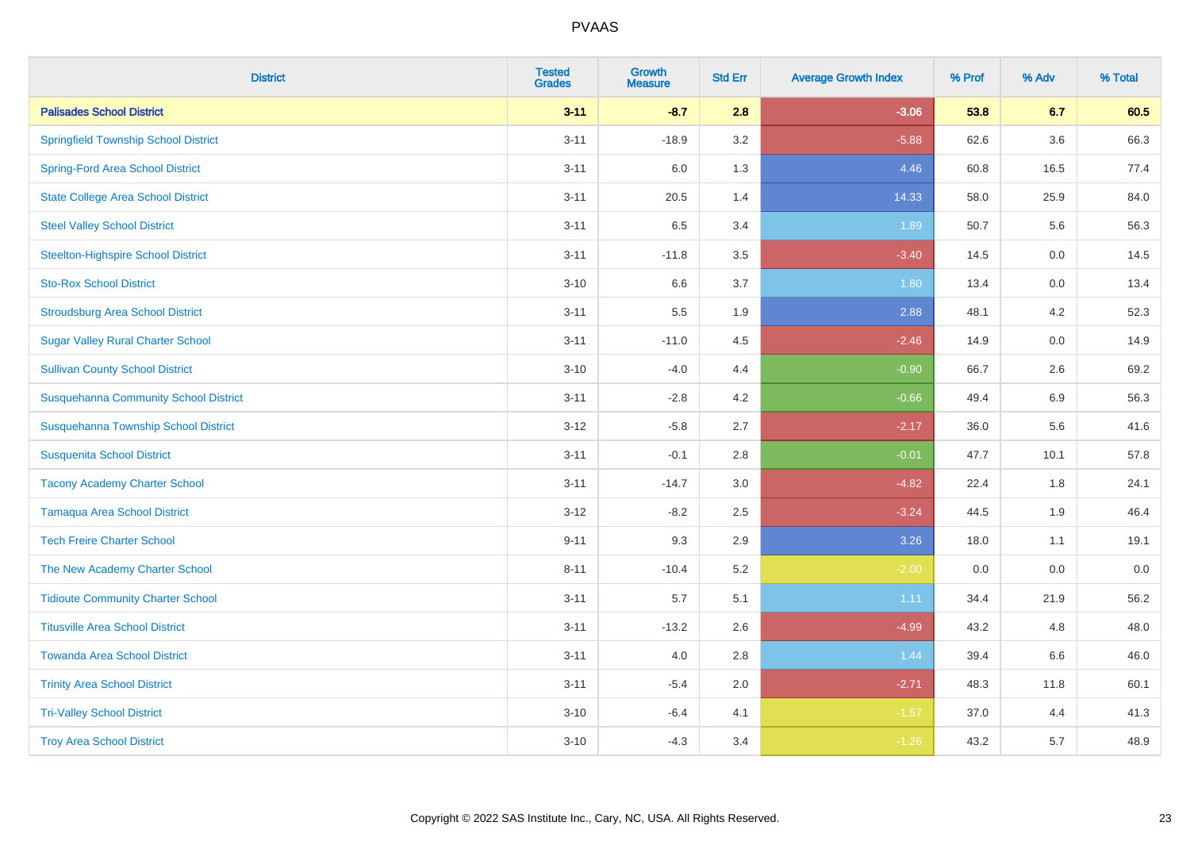| <b>District</b>                              | <b>Tested</b><br><b>Grades</b> | <b>Growth</b><br><b>Measure</b> | <b>Std Err</b> | <b>Average Growth Index</b> | % Prof | % Adv | % Total |
|----------------------------------------------|--------------------------------|---------------------------------|----------------|-----------------------------|--------|-------|---------|
| <b>Palisades School District</b>             | $3 - 11$                       | $-8.7$                          | 2.8            | $-3.06$                     | 53.8   | 6.7   | 60.5    |
| <b>Springfield Township School District</b>  | $3 - 11$                       | $-18.9$                         | 3.2            | $-5.88$                     | 62.6   | 3.6   | 66.3    |
| <b>Spring-Ford Area School District</b>      | $3 - 11$                       | 6.0                             | 1.3            | 4.46                        | 60.8   | 16.5  | 77.4    |
| <b>State College Area School District</b>    | $3 - 11$                       | 20.5                            | 1.4            | 14.33                       | 58.0   | 25.9  | 84.0    |
| <b>Steel Valley School District</b>          | $3 - 11$                       | 6.5                             | 3.4            | 1.89                        | 50.7   | 5.6   | 56.3    |
| <b>Steelton-Highspire School District</b>    | $3 - 11$                       | $-11.8$                         | 3.5            | $-3.40$                     | 14.5   | 0.0   | 14.5    |
| <b>Sto-Rox School District</b>               | $3 - 10$                       | 6.6                             | 3.7            | 1.80                        | 13.4   | 0.0   | 13.4    |
| <b>Stroudsburg Area School District</b>      | $3 - 11$                       | 5.5                             | 1.9            | 2.88                        | 48.1   | 4.2   | 52.3    |
| <b>Sugar Valley Rural Charter School</b>     | $3 - 11$                       | $-11.0$                         | 4.5            | $-2.46$                     | 14.9   | 0.0   | 14.9    |
| <b>Sullivan County School District</b>       | $3 - 10$                       | $-4.0$                          | 4.4            | $-0.90$                     | 66.7   | 2.6   | 69.2    |
| <b>Susquehanna Community School District</b> | $3 - 11$                       | $-2.8$                          | 4.2            | $-0.66$                     | 49.4   | 6.9   | 56.3    |
| Susquehanna Township School District         | $3 - 12$                       | $-5.8$                          | 2.7            | $-2.17$                     | 36.0   | 5.6   | 41.6    |
| <b>Susquenita School District</b>            | $3 - 11$                       | $-0.1$                          | 2.8            | $-0.01$                     | 47.7   | 10.1  | 57.8    |
| <b>Tacony Academy Charter School</b>         | $3 - 11$                       | $-14.7$                         | 3.0            | $-4.82$                     | 22.4   | 1.8   | 24.1    |
| <b>Tamaqua Area School District</b>          | $3 - 12$                       | $-8.2$                          | 2.5            | $-3.24$                     | 44.5   | 1.9   | 46.4    |
| <b>Tech Freire Charter School</b>            | $9 - 11$                       | 9.3                             | 2.9            | 3.26                        | 18.0   | 1.1   | 19.1    |
| The New Academy Charter School               | $8 - 11$                       | $-10.4$                         | 5.2            | $-2.00$                     | 0.0    | 0.0   | 0.0     |
| <b>Tidioute Community Charter School</b>     | $3 - 11$                       | 5.7                             | 5.1            | 1.11                        | 34.4   | 21.9  | 56.2    |
| <b>Titusville Area School District</b>       | $3 - 11$                       | $-13.2$                         | 2.6            | $-4.99$                     | 43.2   | 4.8   | 48.0    |
| <b>Towanda Area School District</b>          | $3 - 11$                       | 4.0                             | $2.8\,$        | 1.44                        | 39.4   | 6.6   | 46.0    |
| <b>Trinity Area School District</b>          | $3 - 11$                       | $-5.4$                          | 2.0            | $-2.71$                     | 48.3   | 11.8  | 60.1    |
| <b>Tri-Valley School District</b>            | $3 - 10$                       | $-6.4$                          | 4.1            | $-1.57$                     | 37.0   | 4.4   | 41.3    |
| <b>Troy Area School District</b>             | $3 - 10$                       | $-4.3$                          | 3.4            | $-1.26$                     | 43.2   | 5.7   | 48.9    |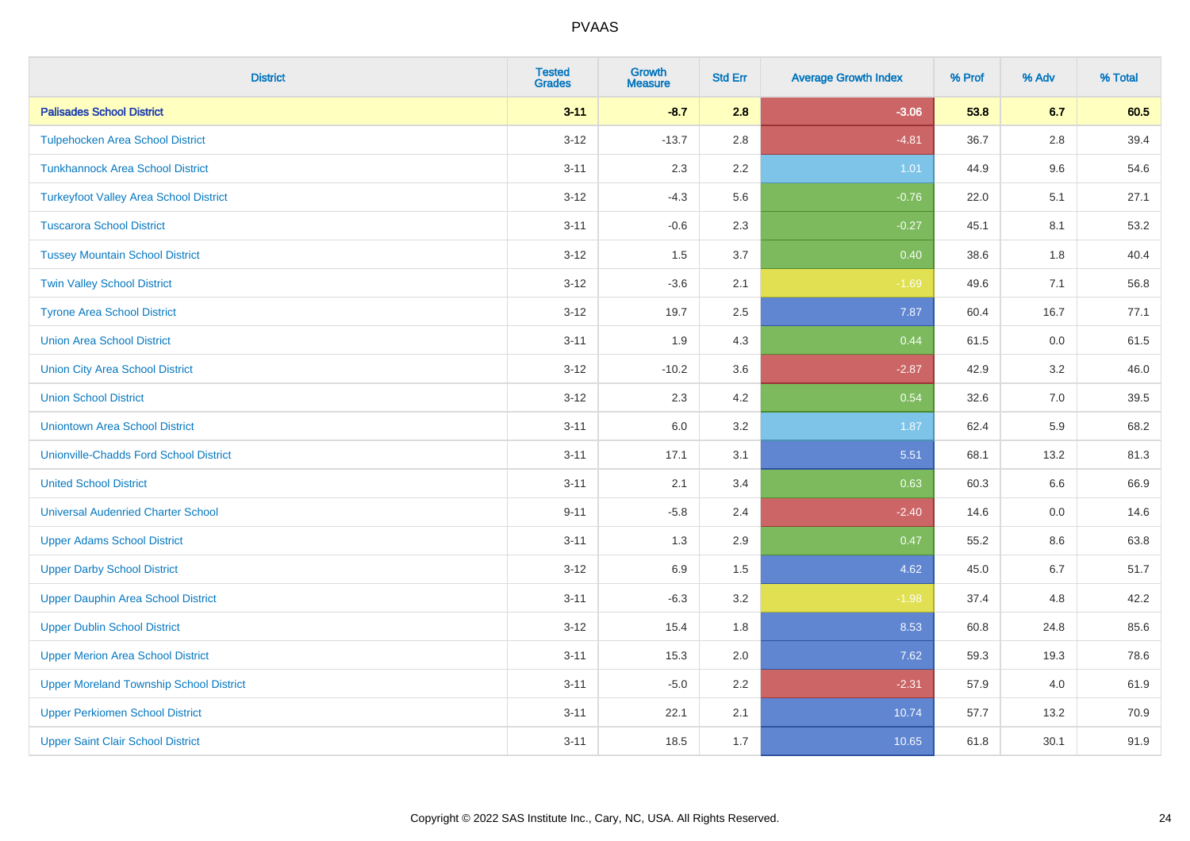| <b>District</b>                                | <b>Tested</b><br><b>Grades</b> | <b>Growth</b><br><b>Measure</b> | <b>Std Err</b> | <b>Average Growth Index</b> | % Prof | % Adv | % Total |
|------------------------------------------------|--------------------------------|---------------------------------|----------------|-----------------------------|--------|-------|---------|
| <b>Palisades School District</b>               | $3 - 11$                       | $-8.7$                          | 2.8            | $-3.06$                     | 53.8   | 6.7   | 60.5    |
| <b>Tulpehocken Area School District</b>        | $3-12$                         | $-13.7$                         | 2.8            | $-4.81$                     | 36.7   | 2.8   | 39.4    |
| <b>Tunkhannock Area School District</b>        | $3 - 11$                       | 2.3                             | 2.2            | 1.01                        | 44.9   | 9.6   | 54.6    |
| <b>Turkeyfoot Valley Area School District</b>  | $3 - 12$                       | $-4.3$                          | 5.6            | $-0.76$                     | 22.0   | 5.1   | 27.1    |
| <b>Tuscarora School District</b>               | $3 - 11$                       | $-0.6$                          | 2.3            | $-0.27$                     | 45.1   | 8.1   | 53.2    |
| <b>Tussey Mountain School District</b>         | $3 - 12$                       | 1.5                             | 3.7            | 0.40                        | 38.6   | 1.8   | 40.4    |
| <b>Twin Valley School District</b>             | $3 - 12$                       | $-3.6$                          | 2.1            | $-1.69$                     | 49.6   | 7.1   | 56.8    |
| <b>Tyrone Area School District</b>             | $3 - 12$                       | 19.7                            | 2.5            | 7.87                        | 60.4   | 16.7  | 77.1    |
| <b>Union Area School District</b>              | $3 - 11$                       | 1.9                             | 4.3            | 0.44                        | 61.5   | 0.0   | 61.5    |
| <b>Union City Area School District</b>         | $3 - 12$                       | $-10.2$                         | 3.6            | $-2.87$                     | 42.9   | 3.2   | 46.0    |
| <b>Union School District</b>                   | $3 - 12$                       | 2.3                             | 4.2            | 0.54                        | 32.6   | 7.0   | 39.5    |
| <b>Uniontown Area School District</b>          | $3 - 11$                       | $6.0\,$                         | 3.2            | 1.87                        | 62.4   | 5.9   | 68.2    |
| <b>Unionville-Chadds Ford School District</b>  | $3 - 11$                       | 17.1                            | 3.1            | 5.51                        | 68.1   | 13.2  | 81.3    |
| <b>United School District</b>                  | $3 - 11$                       | 2.1                             | 3.4            | 0.63                        | 60.3   | 6.6   | 66.9    |
| <b>Universal Audenried Charter School</b>      | $9 - 11$                       | $-5.8$                          | 2.4            | $-2.40$                     | 14.6   | 0.0   | 14.6    |
| <b>Upper Adams School District</b>             | $3 - 11$                       | 1.3                             | 2.9            | 0.47                        | 55.2   | 8.6   | 63.8    |
| <b>Upper Darby School District</b>             | $3 - 12$                       | 6.9                             | 1.5            | 4.62                        | 45.0   | 6.7   | 51.7    |
| <b>Upper Dauphin Area School District</b>      | $3 - 11$                       | $-6.3$                          | 3.2            | $-1.98$                     | 37.4   | 4.8   | 42.2    |
| <b>Upper Dublin School District</b>            | $3 - 12$                       | 15.4                            | 1.8            | 8.53                        | 60.8   | 24.8  | 85.6    |
| <b>Upper Merion Area School District</b>       | $3 - 11$                       | 15.3                            | 2.0            | 7.62                        | 59.3   | 19.3  | 78.6    |
| <b>Upper Moreland Township School District</b> | $3 - 11$                       | $-5.0$                          | 2.2            | $-2.31$                     | 57.9   | 4.0   | 61.9    |
| <b>Upper Perkiomen School District</b>         | $3 - 11$                       | 22.1                            | 2.1            | 10.74                       | 57.7   | 13.2  | 70.9    |
| <b>Upper Saint Clair School District</b>       | $3 - 11$                       | 18.5                            | 1.7            | 10.65                       | 61.8   | 30.1  | 91.9    |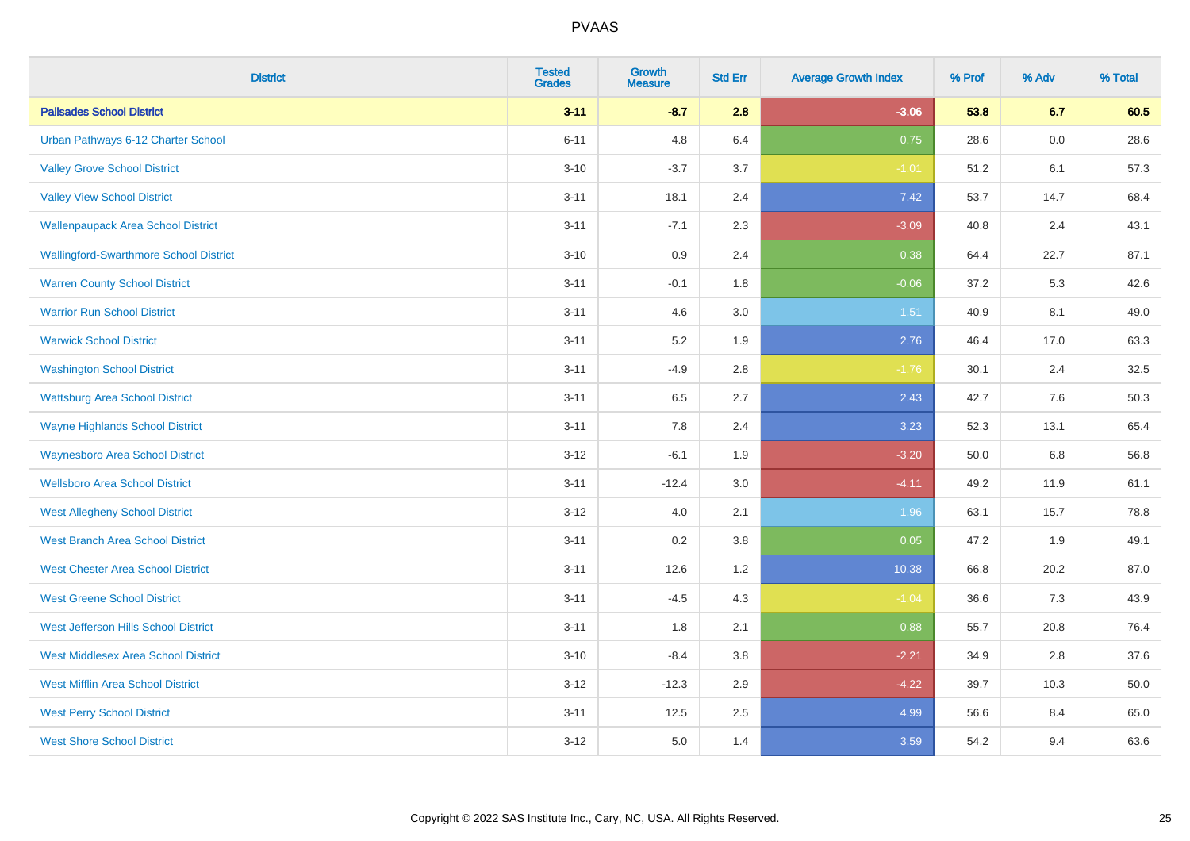| <b>District</b>                               | <b>Tested</b><br><b>Grades</b> | <b>Growth</b><br><b>Measure</b> | <b>Std Err</b> | <b>Average Growth Index</b> | % Prof | % Adv | % Total |
|-----------------------------------------------|--------------------------------|---------------------------------|----------------|-----------------------------|--------|-------|---------|
| <b>Palisades School District</b>              | $3 - 11$                       | $-8.7$                          | 2.8            | $-3.06$                     | 53.8   | 6.7   | 60.5    |
| Urban Pathways 6-12 Charter School            | $6 - 11$                       | 4.8                             | 6.4            | 0.75                        | 28.6   | 0.0   | 28.6    |
| <b>Valley Grove School District</b>           | $3 - 10$                       | $-3.7$                          | 3.7            | $-1.01$                     | 51.2   | 6.1   | 57.3    |
| <b>Valley View School District</b>            | $3 - 11$                       | 18.1                            | 2.4            | 7.42                        | 53.7   | 14.7  | 68.4    |
| <b>Wallenpaupack Area School District</b>     | $3 - 11$                       | $-7.1$                          | 2.3            | $-3.09$                     | 40.8   | 2.4   | 43.1    |
| <b>Wallingford-Swarthmore School District</b> | $3 - 10$                       | 0.9                             | 2.4            | 0.38                        | 64.4   | 22.7  | 87.1    |
| <b>Warren County School District</b>          | $3 - 11$                       | $-0.1$                          | 1.8            | $-0.06$                     | 37.2   | 5.3   | 42.6    |
| <b>Warrior Run School District</b>            | $3 - 11$                       | 4.6                             | 3.0            | 1.51                        | 40.9   | 8.1   | 49.0    |
| <b>Warwick School District</b>                | $3 - 11$                       | 5.2                             | 1.9            | 2.76                        | 46.4   | 17.0  | 63.3    |
| <b>Washington School District</b>             | $3 - 11$                       | $-4.9$                          | 2.8            | $-1.76$                     | 30.1   | 2.4   | 32.5    |
| <b>Wattsburg Area School District</b>         | $3 - 11$                       | 6.5                             | 2.7            | 2.43                        | 42.7   | 7.6   | 50.3    |
| <b>Wayne Highlands School District</b>        | $3 - 11$                       | 7.8                             | 2.4            | 3.23                        | 52.3   | 13.1  | 65.4    |
| <b>Waynesboro Area School District</b>        | $3 - 12$                       | $-6.1$                          | 1.9            | $-3.20$                     | 50.0   | 6.8   | 56.8    |
| <b>Wellsboro Area School District</b>         | $3 - 11$                       | $-12.4$                         | 3.0            | $-4.11$                     | 49.2   | 11.9  | 61.1    |
| <b>West Allegheny School District</b>         | $3 - 12$                       | 4.0                             | 2.1            | 1.96                        | 63.1   | 15.7  | 78.8    |
| <b>West Branch Area School District</b>       | $3 - 11$                       | 0.2                             | 3.8            | 0.05                        | 47.2   | 1.9   | 49.1    |
| <b>West Chester Area School District</b>      | $3 - 11$                       | 12.6                            | 1.2            | 10.38                       | 66.8   | 20.2  | 87.0    |
| <b>West Greene School District</b>            | $3 - 11$                       | $-4.5$                          | 4.3            | $-1.04$                     | 36.6   | 7.3   | 43.9    |
| West Jefferson Hills School District          | $3 - 11$                       | 1.8                             | 2.1            | 0.88                        | 55.7   | 20.8  | 76.4    |
| <b>West Middlesex Area School District</b>    | $3 - 10$                       | $-8.4$                          | 3.8            | $-2.21$                     | 34.9   | 2.8   | 37.6    |
| <b>West Mifflin Area School District</b>      | $3 - 12$                       | $-12.3$                         | 2.9            | $-4.22$                     | 39.7   | 10.3  | 50.0    |
| <b>West Perry School District</b>             | $3 - 11$                       | 12.5                            | 2.5            | 4.99                        | 56.6   | 8.4   | 65.0    |
| <b>West Shore School District</b>             | $3-12$                         | 5.0                             | 1.4            | 3.59                        | 54.2   | 9.4   | 63.6    |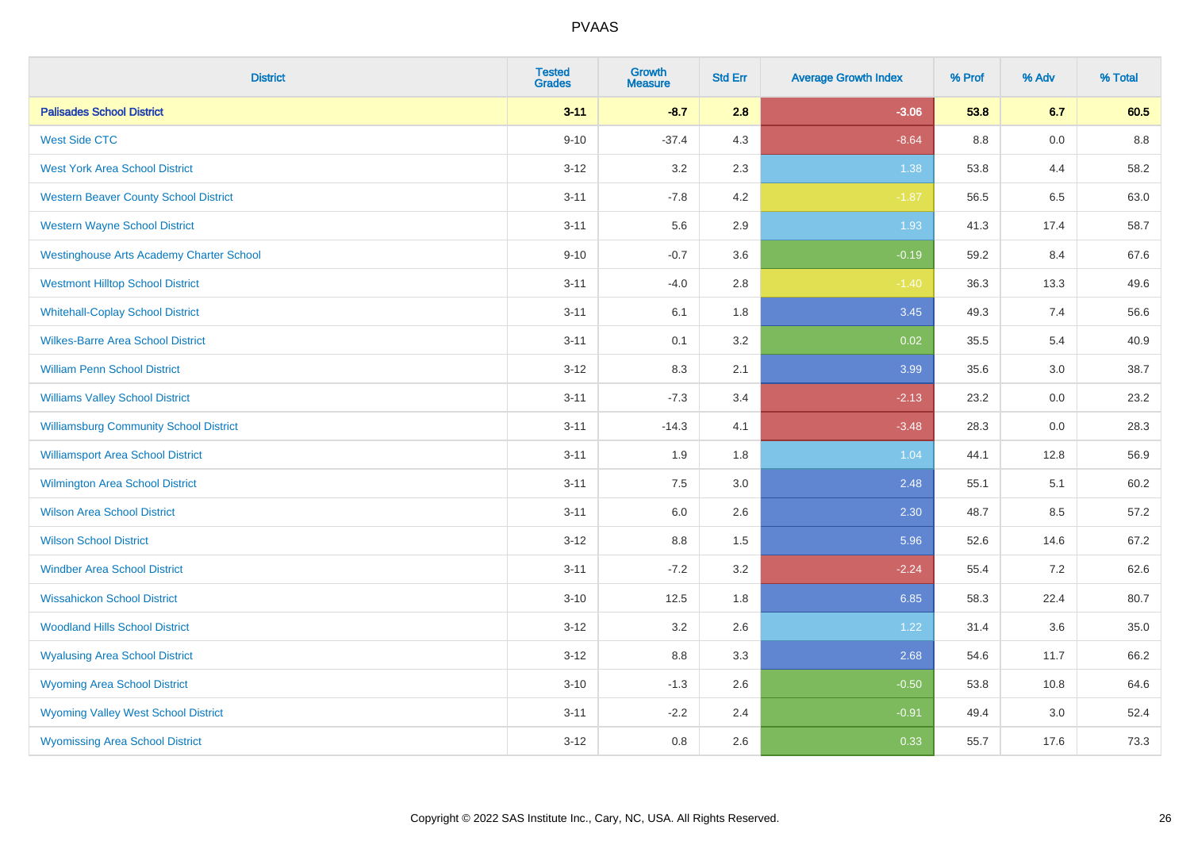| <b>District</b>                                 | <b>Tested</b><br><b>Grades</b> | <b>Growth</b><br><b>Measure</b> | <b>Std Err</b> | <b>Average Growth Index</b> | % Prof | % Adv | % Total |
|-------------------------------------------------|--------------------------------|---------------------------------|----------------|-----------------------------|--------|-------|---------|
| <b>Palisades School District</b>                | $3 - 11$                       | $-8.7$                          | 2.8            | $-3.06$                     | 53.8   | 6.7   | 60.5    |
| <b>West Side CTC</b>                            | $9 - 10$                       | $-37.4$                         | 4.3            | $-8.64$                     | 8.8    | 0.0   | 8.8     |
| <b>West York Area School District</b>           | $3 - 12$                       | 3.2                             | 2.3            | 1.38                        | 53.8   | 4.4   | 58.2    |
| <b>Western Beaver County School District</b>    | $3 - 11$                       | $-7.8$                          | 4.2            | $-1.87$                     | 56.5   | 6.5   | 63.0    |
| <b>Western Wayne School District</b>            | $3 - 11$                       | 5.6                             | 2.9            | 1.93                        | 41.3   | 17.4  | 58.7    |
| <b>Westinghouse Arts Academy Charter School</b> | $9 - 10$                       | $-0.7$                          | 3.6            | $-0.19$                     | 59.2   | 8.4   | 67.6    |
| <b>Westmont Hilltop School District</b>         | $3 - 11$                       | $-4.0$                          | 2.8            | $-1.40$                     | 36.3   | 13.3  | 49.6    |
| <b>Whitehall-Coplay School District</b>         | $3 - 11$                       | 6.1                             | 1.8            | 3.45                        | 49.3   | 7.4   | 56.6    |
| <b>Wilkes-Barre Area School District</b>        | $3 - 11$                       | 0.1                             | 3.2            | 0.02                        | 35.5   | 5.4   | 40.9    |
| <b>William Penn School District</b>             | $3 - 12$                       | 8.3                             | 2.1            | 3.99                        | 35.6   | 3.0   | 38.7    |
| <b>Williams Valley School District</b>          | $3 - 11$                       | $-7.3$                          | 3.4            | $-2.13$                     | 23.2   | 0.0   | 23.2    |
| <b>Williamsburg Community School District</b>   | $3 - 11$                       | $-14.3$                         | 4.1            | $-3.48$                     | 28.3   | 0.0   | 28.3    |
| <b>Williamsport Area School District</b>        | $3 - 11$                       | 1.9                             | 1.8            | 1.04                        | 44.1   | 12.8  | 56.9    |
| <b>Wilmington Area School District</b>          | $3 - 11$                       | 7.5                             | 3.0            | 2.48                        | 55.1   | 5.1   | 60.2    |
| <b>Wilson Area School District</b>              | $3 - 11$                       | $6.0\,$                         | 2.6            | 2.30                        | 48.7   | 8.5   | 57.2    |
| <b>Wilson School District</b>                   | $3 - 12$                       | 8.8                             | 1.5            | 5.96                        | 52.6   | 14.6  | 67.2    |
| <b>Windber Area School District</b>             | $3 - 11$                       | $-7.2$                          | 3.2            | $-2.24$                     | 55.4   | 7.2   | 62.6    |
| <b>Wissahickon School District</b>              | $3 - 10$                       | 12.5                            | 1.8            | 6.85                        | 58.3   | 22.4  | 80.7    |
| <b>Woodland Hills School District</b>           | $3 - 12$                       | 3.2                             | 2.6            | 1.22                        | 31.4   | 3.6   | 35.0    |
| <b>Wyalusing Area School District</b>           | $3 - 12$                       | 8.8                             | 3.3            | 2.68                        | 54.6   | 11.7  | 66.2    |
| <b>Wyoming Area School District</b>             | $3 - 10$                       | $-1.3$                          | 2.6            | $-0.50$                     | 53.8   | 10.8  | 64.6    |
| <b>Wyoming Valley West School District</b>      | $3 - 11$                       | $-2.2$                          | 2.4            | $-0.91$                     | 49.4   | 3.0   | 52.4    |
| <b>Wyomissing Area School District</b>          | $3 - 12$                       | 0.8                             | 2.6            | 0.33                        | 55.7   | 17.6  | 73.3    |